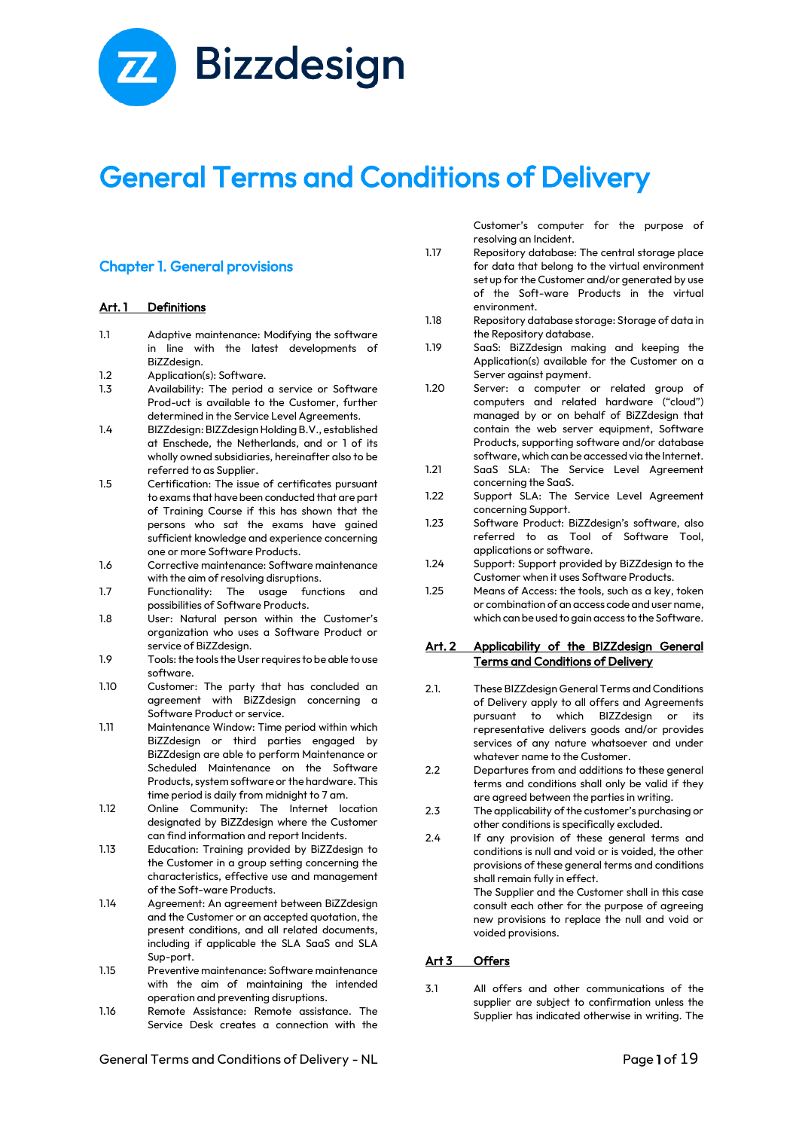

# General Terms and Conditions of Delivery

# Chapter 1. General provisions

#### Art. 1 Definitions

- 1.1 Adaptive maintenance: Modifying the software in line with the latest developments of BiZZdesign.
- 1.2 Application(s): Software.<br>1.3 Availability: The period
- Availability: The period a service or Software Prod-uct is available to the Customer, further determined in the Service Level Agreements.
- 1.4 BIZZdesign: BIZZdesign Holding B.V., established at Enschede, the Netherlands, and or 1 of its wholly owned subsidiaries, hereinafter also to be referred to as Supplier.
- 1.5 Certification: The issue of certificates pursuant to exams that have been conducted that are part of Training Course if this has shown that the persons who sat the exams have gained sufficient knowledge and experience concerning one or more Software Products.
- 1.6 Corrective maintenance: Software maintenance with the aim of resolving disruptions.
- 1.7 Functionality: The usage functions and possibilities of Software Products.
- 1.8 User: Natural person within the Customer's organization who uses a Software Product or service of BiZZdesign.
- 1.9 Tools: the tools the User requires to be able to use software.
- 1.10 Customer: The party that has concluded an agreement with BiZZdesign concerning a Software Product or service.
- 1.11 Maintenance Window: Time period within which BiZZdesign or third parties engaged by BiZZdesign are able to perform Maintenance or Scheduled Maintenance on the Software Products, system software or the hardware. This time period is daily from midnight to 7 am.
- 1.12 Online Community: The Internet location designated by BiZZdesign where the Customer can find information and report Incidents.
- 1.13 Education: Training provided by BiZZdesign to the Customer in a group setting concerning the characteristics, effective use and management of the Soft-ware Products.
- 1.14 Agreement: An agreement between BiZZdesign and the Customer or an accepted quotation, the present conditions, and all related documents, including if applicable the SLA SaaS and SLA Sup-port.
- 1.15 Preventive maintenance: Software maintenance with the aim of maintaining the intended operation and preventing disruptions.
- 1.16 Remote Assistance: Remote assistance. The Service Desk creates a connection with the

General Terms and Conditions of Delivery - NL **Page 1** of 19

Customer's computer for the purpose of resolving an Incident.

- 1.17 Repository database: The central storage place for data that belong to the virtual environment set up for the Customer and/or generated by use of the Soft-ware Products in the virtual environment.
- 1.18 Repository database storage: Storage of data in the Repository database.
- 1.19 SaaS: BiZZdesign making and keeping the Application(s) available for the Customer on a Server against payment.
- 1.20 Server: a computer or related group of computers and related hardware ("cloud") managed by or on behalf of BiZZdesign that contain the web server equipment, Software Products, supporting software and/or database software, which can be accessed via the Internet.
- 1.21 SaaS SLA: The Service Level Agreement concerning the SaaS.
- 1.22 Support SLA: The Service Level Agreement concerning Support.
- 1.23 Software Product: BiZZdesign's software, also referred to as Tool of Software Tool, applications or software.
- 1.24 Support: Support provided by BiZZdesign to the Customer when it uses Software Products.
- 1.25 Means of Access: the tools, such as a key, token or combination of an access code and user name, which can be used to gain access to the Software.

#### Art. 2 Applicability of the BIZZdesign General Terms and Conditions of Delivery

- 2.1. These BIZZdesign General Terms and Conditions of Delivery apply to all offers and Agreements pursuant to which BIZZdesign or its representative delivers goods and/or provides services of any nature whatsoever and under whatever name to the Customer.
- 2.2 Departures from and additions to these general terms and conditions shall only be valid if they are agreed between the parties in writing.
- 2.3 The applicability of the customer's purchasing or other conditions is specifically excluded.
- 2.4 If any provision of these general terms and conditions is null and void or is voided, the other provisions of these general terms and conditions shall remain fully in effect. The Supplier and the Customer shall in this case consult each other for the purpose of agreeing

new provisions to replace the null and void or voided provisions.

#### Art 3 Offers

3.1 All offers and other communications of the supplier are subject to confirmation unless the Supplier has indicated otherwise in writing. The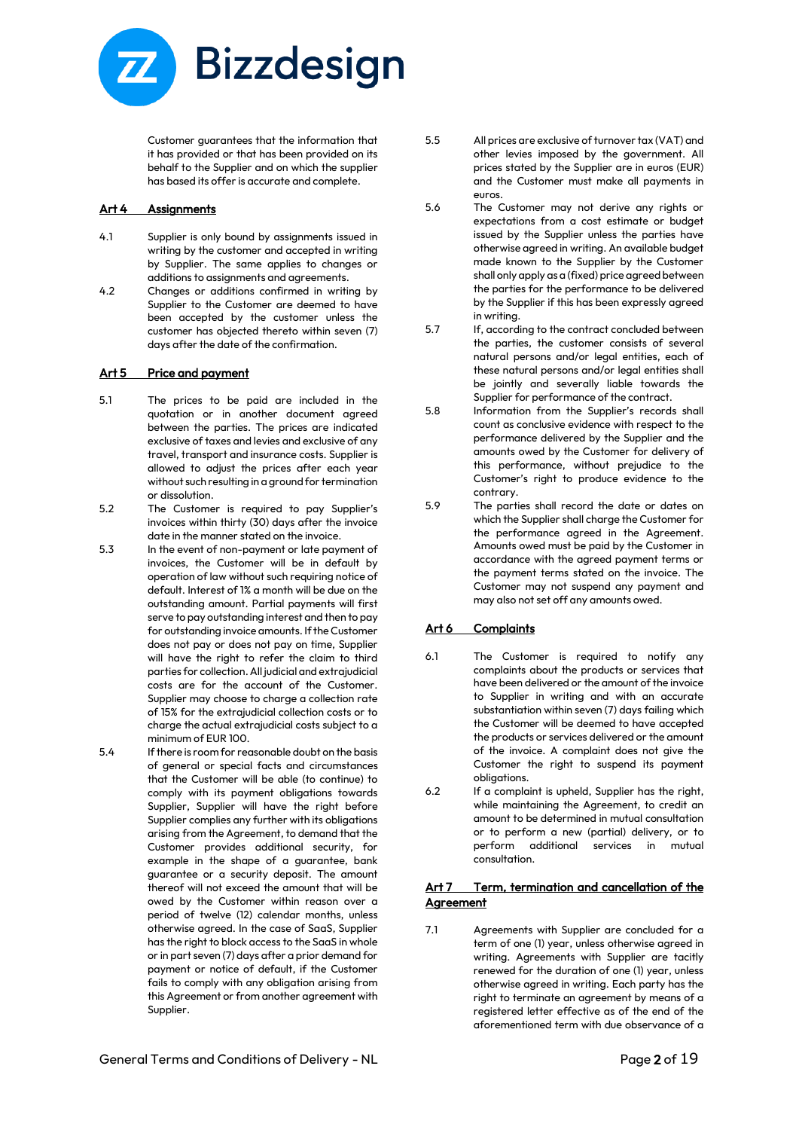

Customer guarantees that the information that it has provided or that has been provided on its behalf to the Supplier and on which the supplier has based its offer is accurate and complete.

#### Art 4 Assignments

- 4.1 Supplier is only bound by assignments issued in writing by the customer and accepted in writing by Supplier. The same applies to changes or additions to assignments and agreements.
- 4.2 Changes or additions confirmed in writing by Supplier to the Customer are deemed to have been accepted by the customer unless the customer has objected thereto within seven (7) days after the date of the confirmation.

# Art 5 Price and payment

- 5.1 The prices to be paid are included in the quotation or in another document agreed between the parties. The prices are indicated exclusive of taxes and levies and exclusive of any travel, transport and insurance costs. Supplier is allowed to adjust the prices after each year without such resulting in a ground for termination or dissolution.
- 5.2 The Customer is required to pay Supplier's invoices within thirty (30) days after the invoice date in the manner stated on the invoice.
- 5.3 In the event of non-payment or late payment of invoices, the Customer will be in default by operation of law without such requiring notice of default. Interest of 1% a month will be due on the outstanding amount. Partial payments will first serve to pay outstanding interest and then to pay for outstanding invoice amounts. If the Customer does not pay or does not pay on time, Supplier will have the right to refer the claim to third parties for collection. All judicial and extrajudicial costs are for the account of the Customer. Supplier may choose to charge a collection rate of 15% for the extrajudicial collection costs or to charge the actual extrajudicial costs subject to a minimum of EUR 100.
- 5.4 If there is room for reasonable doubt on the basis of general or special facts and circumstances that the Customer will be able (to continue) to comply with its payment obligations towards Supplier, Supplier will have the right before Supplier complies any further with its obligations arising from the Agreement, to demand that the Customer provides additional security, for example in the shape of a guarantee, bank guarantee or a security deposit. The amount thereof will not exceed the amount that will be owed by the Customer within reason over a period of twelve (12) calendar months, unless otherwise agreed. In the case of SaaS, Supplier has the right to block access to the SaaS in whole or in part seven (7) days after a prior demand for payment or notice of default, if the Customer fails to comply with any obligation arising from this Agreement or from another agreement with Supplier.
- 5.5 All prices are exclusive of turnover tax (VAT) and other levies imposed by the government. All prices stated by the Supplier are in euros (EUR) and the Customer must make all payments in euros.
- 5.6 The Customer may not derive any rights or expectations from a cost estimate or budget issued by the Supplier unless the parties have otherwise agreed in writing. An available budget made known to the Supplier by the Customer shall only apply as a (fixed) price agreed between the parties for the performance to be delivered by the Supplier if this has been expressly agreed in writing.
- 5.7 If, according to the contract concluded between the parties, the customer consists of several natural persons and/or legal entities, each of these natural persons and/or legal entities shall be jointly and severally liable towards the Supplier for performance of the contract.
- 5.8 Information from the Supplier's records shall count as conclusive evidence with respect to the performance delivered by the Supplier and the amounts owed by the Customer for delivery of this performance, without prejudice to the Customer's right to produce evidence to the contrary.
- 5.9 The parties shall record the date or dates on which the Supplier shall charge the Customer for the performance agreed in the Agreement. Amounts owed must be paid by the Customer in accordance with the agreed payment terms or the payment terms stated on the invoice. The Customer may not suspend any payment and may also not set off any amounts owed.

# Art 6 Complaints

- 6.1 The Customer is required to notify any complaints about the products or services that have been delivered or the amount of the invoice to Supplier in writing and with an accurate substantiation within seven (7) days failing which the Customer will be deemed to have accepted the products or services delivered or the amount of the invoice. A complaint does not give the Customer the right to suspend its payment obligations.
- 6.2 If a complaint is upheld, Supplier has the right, while maintaining the Agreement, to credit an amount to be determined in mutual consultation or to perform a new (partial) delivery, or to perform additional services in mutual consultation.

# Art 7 Term, termination and cancellation of the **Agreement**

7.1 Agreements with Supplier are concluded for a term of one (1) year, unless otherwise agreed in writing. Agreements with Supplier are tacitly renewed for the duration of one (1) year, unless otherwise agreed in writing. Each party has the right to terminate an agreement by means of a registered letter effective as of the end of the aforementioned term with due observance of a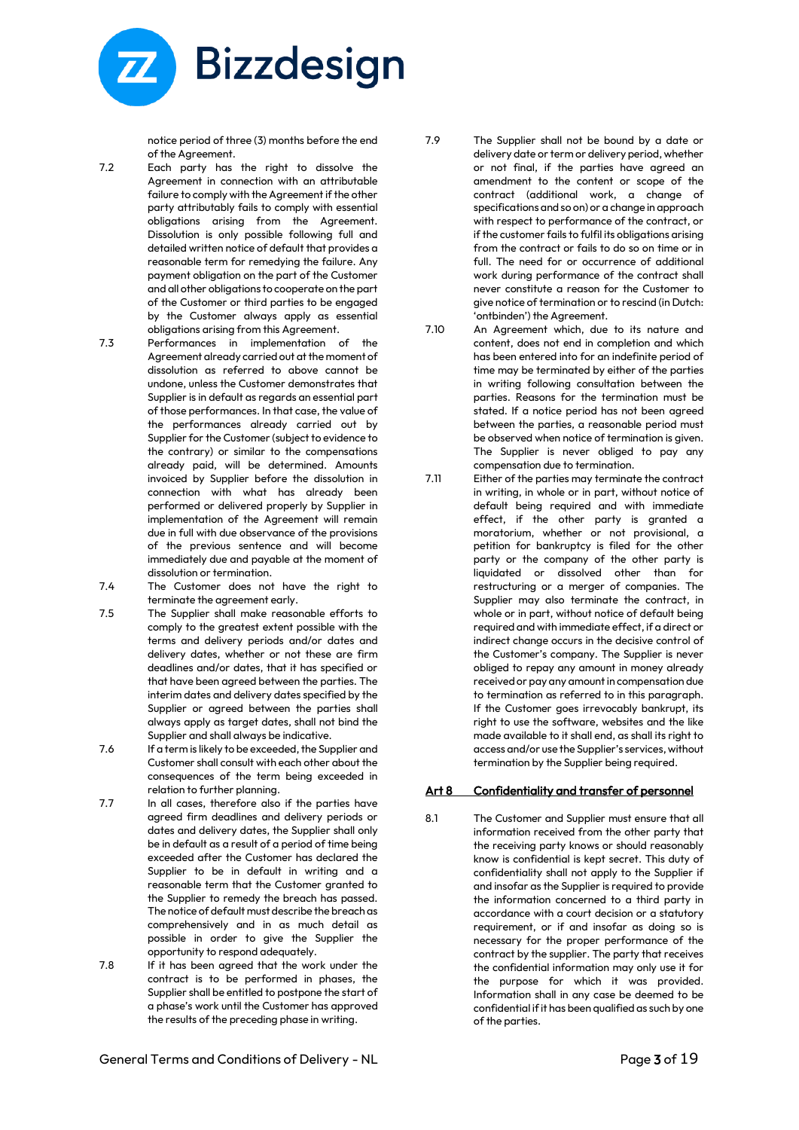

notice period of three (3) months before the end of the Agreement.

- 7.2 Each party has the right to dissolve the Agreement in connection with an attributable failure to comply with the Agreement if the other party attributably fails to comply with essential obligations arising from the Agreement. Dissolution is only possible following full and detailed written notice of default that provides a reasonable term for remedying the failure. Any payment obligation on the part of the Customer and all other obligations to cooperate on the part of the Customer or third parties to be engaged by the Customer always apply as essential obligations arising from this Agreement.
- 7.3 Performances in implementation of the Agreement already carried out at the moment of dissolution as referred to above cannot be undone, unless the Customer demonstrates that Supplier is in default as regards an essential part of those performances. In that case, the value of the performances already carried out by Supplier for the Customer (subject to evidence to the contrary) or similar to the compensations already paid, will be determined. Amounts invoiced by Supplier before the dissolution in connection with what has already been performed or delivered properly by Supplier in implementation of the Agreement will remain due in full with due observance of the provisions of the previous sentence and will become immediately due and payable at the moment of dissolution or termination.
- 7.4 The Customer does not have the right to terminate the agreement early.
- 7.5 The Supplier shall make reasonable efforts to comply to the greatest extent possible with the terms and delivery periods and/or dates and delivery dates, whether or not these are firm deadlines and/or dates, that it has specified or that have been agreed between the parties. The interim dates and delivery dates specified by the Supplier or agreed between the parties shall always apply as target dates, shall not bind the Supplier and shall always be indicative.
- 7.6 If a term is likely to be exceeded, the Supplier and Customer shall consult with each other about the consequences of the term being exceeded in relation to further planning.
- 7.7 In all cases, therefore also if the parties have agreed firm deadlines and delivery periods or dates and delivery dates, the Supplier shall only be in default as a result of a period of time being exceeded after the Customer has declared the Supplier to be in default in writing and a reasonable term that the Customer granted to the Supplier to remedy the breach has passed. The notice of default must describe the breach as comprehensively and in as much detail as possible in order to give the Supplier the opportunity to respond adequately.
- 7.8 If it has been agreed that the work under the contract is to be performed in phases, the Supplier shall be entitled to postpone the start of a phase's work until the Customer has approved the results of the preceding phase in writing.

7.9 The Supplier shall not be bound by a date or delivery date or term or delivery period, whether or not final, if the parties have agreed an amendment to the content or scope of the contract (additional work, a change of specifications and so on) or a change in approach with respect to performance of the contract, or if the customer fails to fulfil its obligations arising from the contract or fails to do so on time or in full. The need for or occurrence of additional work during performance of the contract shall never constitute a reason for the Customer to give notice of termination or to rescind (in Dutch: 'ontbinden') the Agreement.

- 7.10 An Agreement which, due to its nature and content, does not end in completion and which has been entered into for an indefinite period of time may be terminated by either of the parties in writing following consultation between the parties. Reasons for the termination must be stated. If a notice period has not been agreed between the parties, a reasonable period must be observed when notice of termination is given. The Supplier is never obliged to pay any compensation due to termination.
- 7.11 Either of the parties may terminate the contract in writing, in whole or in part, without notice of default being required and with immediate effect, if the other party is granted a moratorium, whether or not provisional, a petition for bankruptcy is filed for the other party or the company of the other party is liquidated or dissolved other than for restructuring or a merger of companies. The Supplier may also terminate the contract, in whole or in part, without notice of default being required and with immediate effect, if a direct or indirect change occurs in the decisive control of the Customer's company. The Supplier is never obliged to repay any amount in money already received or pay any amount in compensation due to termination as referred to in this paragraph. If the Customer goes irrevocably bankrupt, its right to use the software, websites and the like made available to it shall end, as shall its right to access and/or use the Supplier's services, without termination by the Supplier being required.

# Art 8 Confidentiality and transfer of personnel

8.1 The Customer and Supplier must ensure that all information received from the other party that the receiving party knows or should reasonably know is confidential is kept secret. This duty of confidentiality shall not apply to the Supplier if and insofar as the Supplier is required to provide the information concerned to a third party in accordance with a court decision or a statutory requirement, or if and insofar as doing so is necessary for the proper performance of the contract by the supplier. The party that receives the confidential information may only use it for the purpose for which it was provided. Information shall in any case be deemed to be confidential if it has been qualified as such by one of the parties.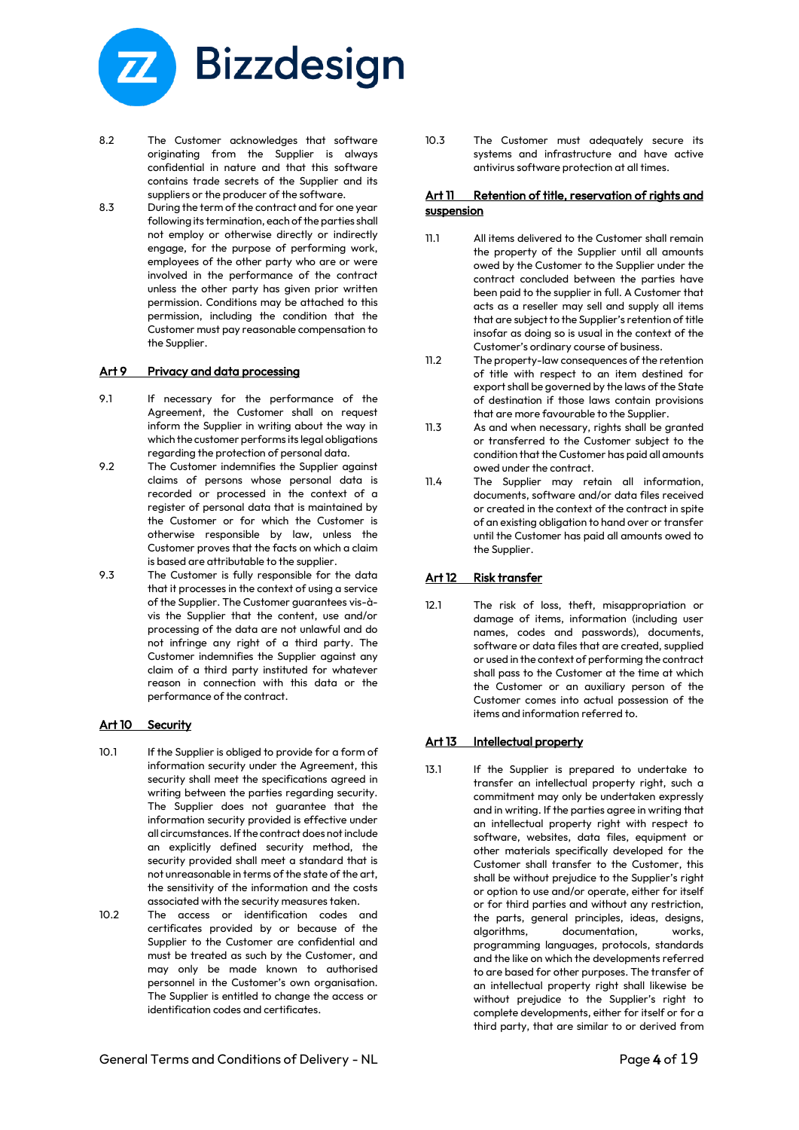

- 8.2 The Customer acknowledges that software originating from the Supplier is always confidential in nature and that this software contains trade secrets of the Supplier and its suppliers or the producer of the software.
- 8.3 During the term of the contract and for one year following its termination, each of the parties shall not employ or otherwise directly or indirectly engage, for the purpose of performing work, employees of the other party who are or were involved in the performance of the contract unless the other party has given prior written permission. Conditions may be attached to this permission, including the condition that the Customer must pay reasonable compensation to the Supplier.

#### Art 9 Privacy and data processing

- 9.1 If necessary for the performance of the Agreement, the Customer shall on request inform the Supplier in writing about the way in which the customer performs its legal obligations regarding the protection of personal data.
- 9.2 The Customer indemnifies the Supplier against claims of persons whose personal data is recorded or processed in the context of a register of personal data that is maintained by the Customer or for which the Customer is otherwise responsible by law, unless the Customer proves that the facts on which a claim is based are attributable to the supplier.
- 9.3 The Customer is fully responsible for the data that it processes in the context of using a service of the Supplier. The Customer guarantees vis-àvis the Supplier that the content, use and/or processing of the data are not unlawful and do not infringe any right of a third party. The Customer indemnifies the Supplier against any claim of a third party instituted for whatever reason in connection with this data or the performance of the contract.

# Art 10 Security

- 10.1 If the Supplier is obliged to provide for a form of information security under the Agreement, this security shall meet the specifications agreed in writing between the parties regarding security. The Supplier does not guarantee that the information security provided is effective under all circumstances. If the contract does not include an explicitly defined security method, the security provided shall meet a standard that is not unreasonable in terms of the state of the art, the sensitivity of the information and the costs associated with the security measures taken.
- 10.2 The access or identification codes and certificates provided by or because of the Supplier to the Customer are confidential and must be treated as such by the Customer, and may only be made known to authorised personnel in the Customer's own organisation. The Supplier is entitled to change the access or identification codes and certificates.

10.3 The Customer must adequately secure its systems and infrastructure and have active antivirus software protection at all times.

# Art 11 Retention of title, reservation of rights and **suspension**

- 11.1 All items delivered to the Customer shall remain the property of the Supplier until all amounts owed by the Customer to the Supplier under the contract concluded between the parties have been paid to the supplier in full. A Customer that acts as a reseller may sell and supply all items that are subject to the Supplier's retention of title insofar as doing so is usual in the context of the Customer's ordinary course of business.
- 11.2 The property-law consequences of the retention of title with respect to an item destined for export shall be governed by the laws of the State of destination if those laws contain provisions that are more favourable to the Supplier.
- 11.3 As and when necessary, rights shall be granted or transferred to the Customer subject to the condition that the Customer has paid all amounts owed under the contract.
- 11.4 The Supplier may retain all information, documents, software and/or data files received or created in the context of the contract in spite of an existing obligation to hand over or transfer until the Customer has paid all amounts owed to the Supplier.

# Art 12 Risk transfer

12.1 The risk of loss, theft, misappropriation or damage of items, information (including user names, codes and passwords), documents, software or data files that are created, supplied or used in the context of performing the contract shall pass to the Customer at the time at which the Customer or an auxiliary person of the Customer comes into actual possession of the items and information referred to.

# Art 13 Intellectual property

13.1 If the Supplier is prepared to undertake to transfer an intellectual property right, such a commitment may only be undertaken expressly and in writing. If the parties agree in writing that an intellectual property right with respect to software, websites, data files, equipment or other materials specifically developed for the Customer shall transfer to the Customer, this shall be without prejudice to the Supplier's right or option to use and/or operate, either for itself or for third parties and without any restriction, the parts, general principles, ideas, designs, algorithms, documentation, works, programming languages, protocols, standards and the like on which the developments referred to are based for other purposes. The transfer of an intellectual property right shall likewise be without prejudice to the Supplier's right to complete developments, either for itself or for a third party, that are similar to or derived from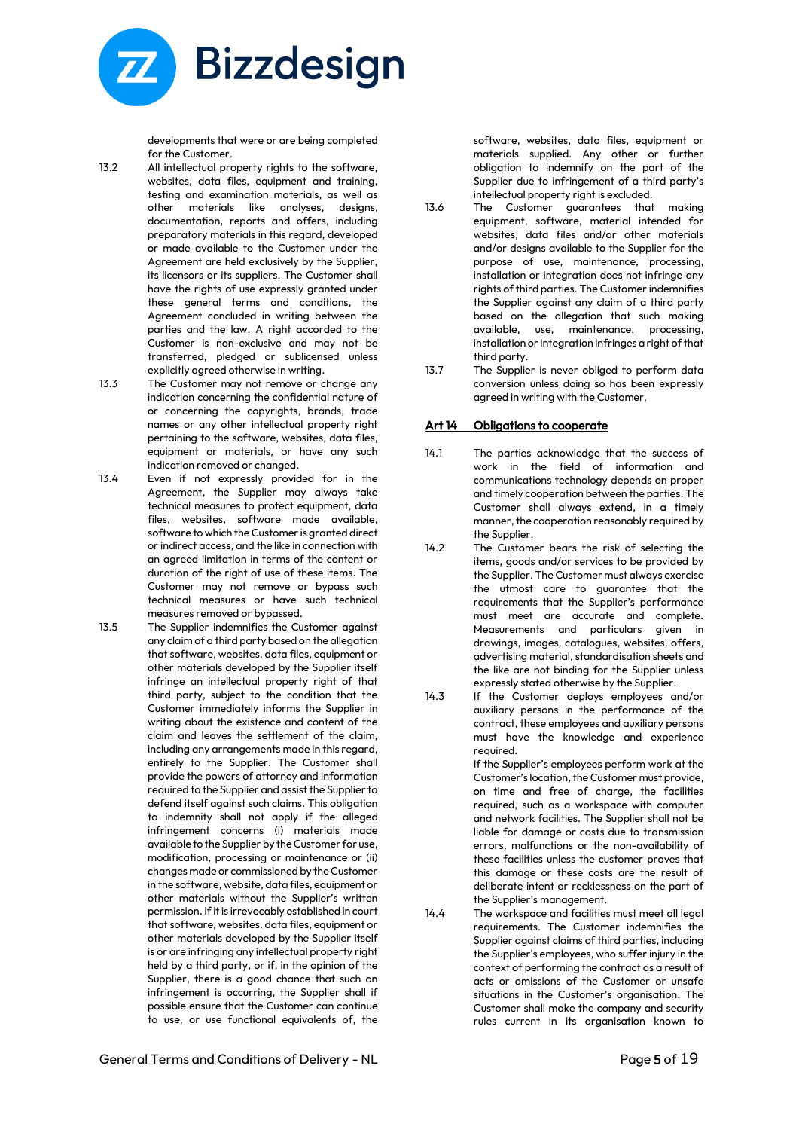

developments that were or are being completed for the Customer.

- 13.2 All intellectual property rights to the software, websites, data files, equipment and training, testing and examination materials, as well as other materials like analyses, designs, documentation, reports and offers, including preparatory materials in this regard, developed or made available to the Customer under the Agreement are held exclusively by the Supplier, its licensors or its suppliers. The Customer shall have the rights of use expressly granted under these general terms and conditions, the Agreement concluded in writing between the parties and the law. A right accorded to the Customer is non-exclusive and may not be transferred, pledged or sublicensed unless explicitly agreed otherwise in writing.
- 13.3 The Customer may not remove or change any indication concerning the confidential nature of or concerning the copyrights, brands, trade names or any other intellectual property right pertaining to the software, websites, data files, equipment or materials, or have any such indication removed or changed.
- 13.4 Even if not expressly provided for in the Agreement, the Supplier may always take technical measures to protect equipment, data files, websites, software made available, software to which the Customer is granted direct or indirect access, and the like in connection with an agreed limitation in terms of the content or duration of the right of use of these items. The Customer may not remove or bypass such technical measures or have such technical measures removed or bypassed.
- 13.5 The Supplier indemnifies the Customer against any claim of a third party based on the allegation that software, websites, data files, equipment or other materials developed by the Supplier itself infringe an intellectual property right of that third party, subject to the condition that the Customer immediately informs the Supplier in writing about the existence and content of the claim and leaves the settlement of the claim, including any arrangements made in this regard, entirely to the Supplier. The Customer shall provide the powers of attorney and information required to the Supplier and assist the Supplier to defend itself against such claims. This obligation to indemnity shall not apply if the alleged infringement concerns (i) materials made available to the Supplier by the Customer for use, modification, processing or maintenance or (ii) changes made or commissioned by the Customer in the software, website, data files, equipment or other materials without the Supplier's written permission. If it is irrevocably established in court that software, websites, data files, equipment or other materials developed by the Supplier itself is or are infringing any intellectual property right held by a third party, or if, in the opinion of the Supplier, there is a good chance that such an infringement is occurring, the Supplier shall if possible ensure that the Customer can continue to use, or use functional equivalents of, the

software, websites, data files, equipment or materials supplied. Any other or further obligation to indemnify on the part of the Supplier due to infringement of a third party's intellectual property right is excluded.

- 13.6 The Customer guarantees that making equipment, software, material intended for websites, data files and/or other materials and/or designs available to the Supplier for the purpose of use, maintenance, processing, installation or integration does not infringe any rights of third parties. The Customer indemnifies the Supplier against any claim of a third party based on the allegation that such making available, use, maintenance, processing, installation or integration infringes a right of that third party.
- 13.7 The Supplier is never obliged to perform data conversion unless doing so has been expressly agreed in writing with the Customer.

#### Art 14 Obligations to cooperate

- 14.1 The parties acknowledge that the success of work in the field of information and communications technology depends on proper and timely cooperation between the parties. The Customer shall always extend, in a timely manner, the cooperation reasonably required by the Supplier.
- 14.2 The Customer bears the risk of selecting the items, goods and/or services to be provided by the Supplier. The Customer must always exercise the utmost care to guarantee that the requirements that the Supplier's performance must meet are accurate and complete. Measurements and particulars given in drawings, images, catalogues, websites, offers, advertising material, standardisation sheets and the like are not binding for the Supplier unless expressly stated otherwise by the Supplier.
- 14.3 If the Customer deploys employees and/or auxiliary persons in the performance of the contract, these employees and auxiliary persons must have the knowledge and experience required.

If the Supplier's employees perform work at the Customer's location, the Customer must provide, on time and free of charge, the facilities required, such as a workspace with computer and network facilities. The Supplier shall not be liable for damage or costs due to transmission errors, malfunctions or the non-availability of these facilities unless the customer proves that this damage or these costs are the result of deliberate intent or recklessness on the part of the Supplier's management.

14.4 The workspace and facilities must meet all legal requirements. The Customer indemnifies the Supplier against claims of third parties, including the Supplier's employees, who suffer injury in the context of performing the contract as a result of acts or omissions of the Customer or unsafe situations in the Customer's organisation. The Customer shall make the company and security rules current in its organisation known to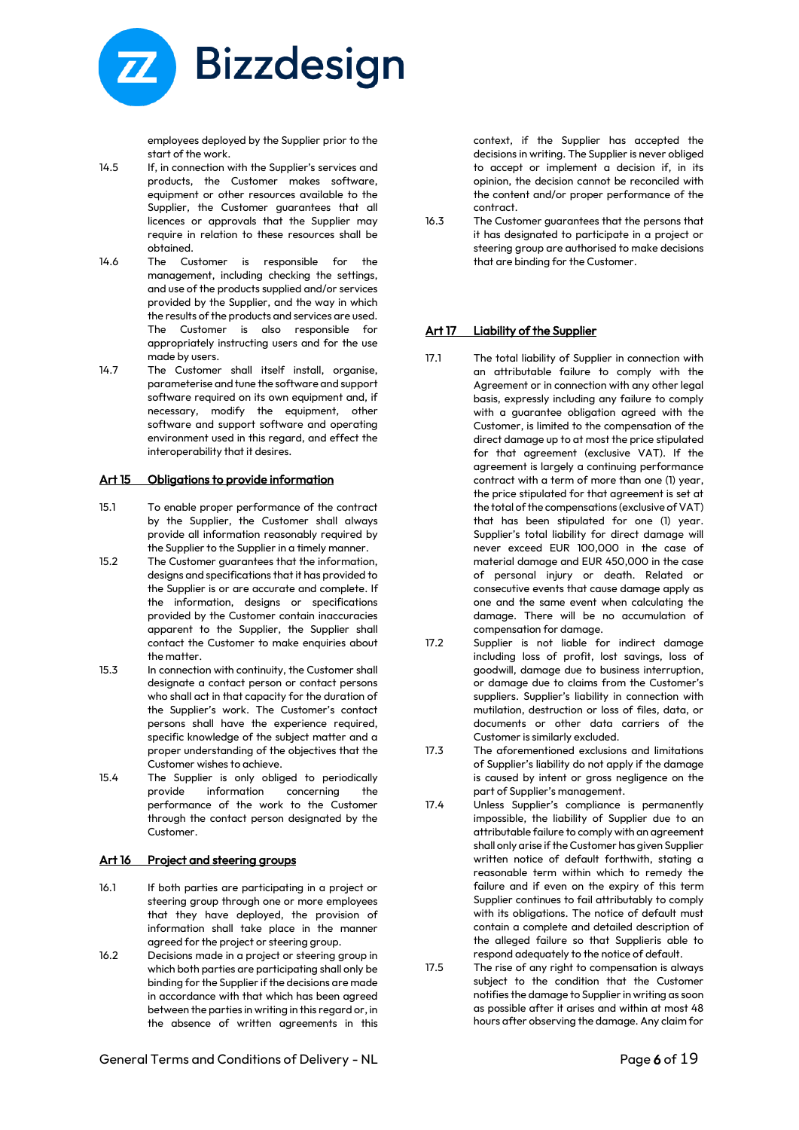

employees deployed by the Supplier prior to the start of the work.

- 14.5 If, in connection with the Supplier's services and products, the Customer makes software, equipment or other resources available to the Supplier, the Customer guarantees that all licences or approvals that the Supplier may require in relation to these resources shall be obtained.
- 14.6 The Customer is responsible for the management, including checking the settings, and use of the products supplied and/or services provided by the Supplier, and the way in which the results of the products and services are used. The Customer is also responsible for appropriately instructing users and for the use made by users.
- 14.7 The Customer shall itself install, organise, parameterise and tune the software and support software required on its own equipment and, if necessary, modify the equipment, other software and support software and operating environment used in this regard, and effect the interoperability that it desires.

# Art 15 Obligations to provide information

- 15.1 To enable proper performance of the contract by the Supplier, the Customer shall always provide all information reasonably required by the Supplier to the Supplier in a timely manner.
- 15.2 The Customer guarantees that the information, designs and specifications that it has provided to the Supplier is or are accurate and complete. If the information, designs or specifications provided by the Customer contain inaccuracies apparent to the Supplier, the Supplier shall contact the Customer to make enquiries about the matter.
- 15.3 In connection with continuity, the Customer shall designate a contact person or contact persons who shall act in that capacity for the duration of the Supplier's work. The Customer's contact persons shall have the experience required, specific knowledge of the subject matter and a proper understanding of the objectives that the Customer wishes to achieve.
- 15.4 The Supplier is only obliged to periodically provide information concerning the performance of the work to the Customer through the contact person designated by the Customer.

#### Art 16 Project and steering groups

- 16.1 If both parties are participating in a project or steering group through one or more employees that they have deployed, the provision of information shall take place in the manner agreed for the project or steering group.
- 16.2 Decisions made in a project or steering group in which both parties are participating shall only be binding for the Supplier if the decisions are made in accordance with that which has been agreed between the parties in writing in this regard or, in the absence of written agreements in this

context, if the Supplier has accepted the decisions in writing. The Supplier is never obliged to accept or implement a decision if, in its opinion, the decision cannot be reconciled with the content and/or proper performance of the contract.

16.3 The Customer guarantees that the persons that it has designated to participate in a project or steering group are authorised to make decisions that are binding for the Customer.

#### Art 17 Liability of the Supplier

- 17.1 The total liability of Supplier in connection with an attributable failure to comply with the Agreement or in connection with any other legal basis, expressly including any failure to comply with a guarantee obligation agreed with the Customer, is limited to the compensation of the direct damage up to at most the price stipulated for that agreement (exclusive VAT). If the agreement is largely a continuing performance contract with a term of more than one (1) year, the price stipulated for that agreement is set at the total of the compensations (exclusive of VAT) that has been stipulated for one (1) year. Supplier's total liability for direct damage will never exceed EUR 100,000 in the case of material damage and EUR 450,000 in the case of personal injury or death. Related or consecutive events that cause damage apply as one and the same event when calculating the damage. There will be no accumulation of compensation for damage.
- 17.2 Supplier is not liable for indirect damage including loss of profit, lost savings, loss of goodwill, damage due to business interruption, or damage due to claims from the Customer's suppliers. Supplier's liability in connection with mutilation, destruction or loss of files, data, or documents or other data carriers of the Customer is similarly excluded.
- 17.3 The aforementioned exclusions and limitations of Supplier's liability do not apply if the damage is caused by intent or gross negligence on the part of Supplier's management.
- 17.4 Unless Supplier's compliance is permanently impossible, the liability of Supplier due to an attributable failure to comply with an agreement shall only arise if the Customer has given Supplier written notice of default forthwith, stating a reasonable term within which to remedy the failure and if even on the expiry of this term Supplier continues to fail attributably to comply with its obligations. The notice of default must contain a complete and detailed description of the alleged failure so that Supplieris able to respond adequately to the notice of default.
- 17.5 The rise of any right to compensation is always subject to the condition that the Customer notifies the damage to Supplier in writing as soon as possible after it arises and within at most 48 hours after observing the damage. Any claim for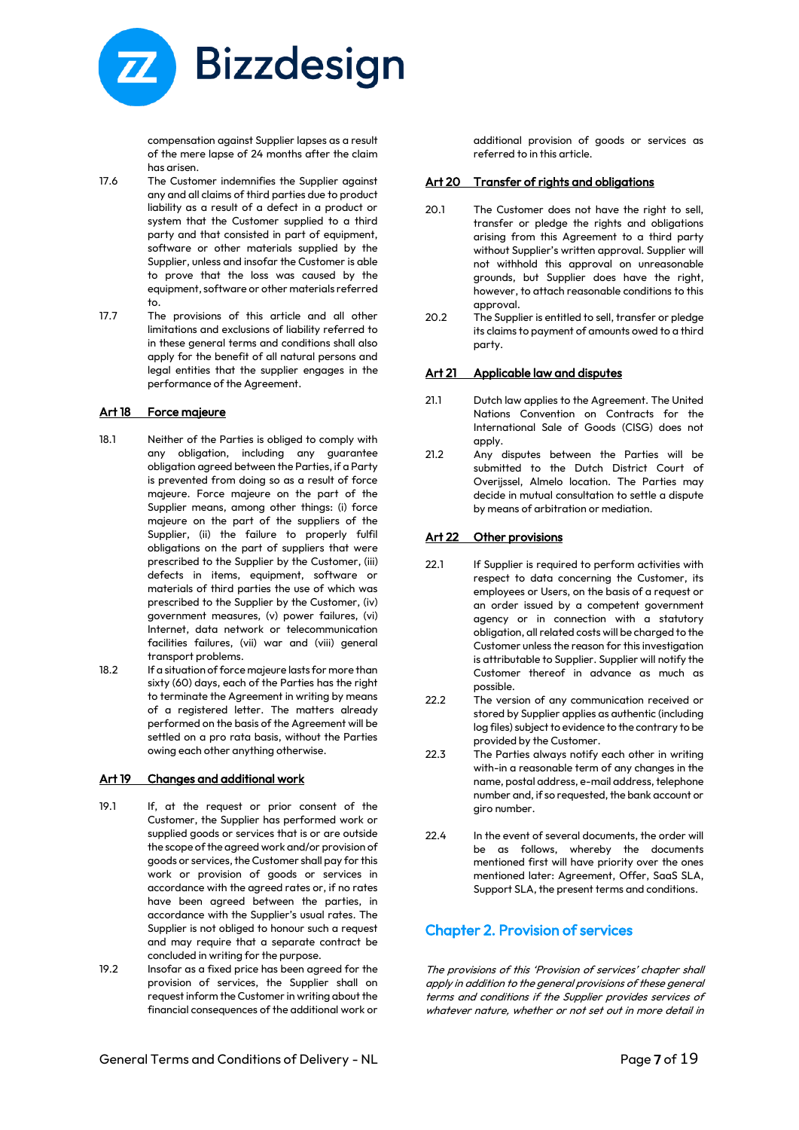

compensation against Supplier lapses as a result of the mere lapse of 24 months after the claim has arisen.

- 17.6 The Customer indemnifies the Supplier against any and all claims of third parties due to product liability as a result of a defect in a product or system that the Customer supplied to a third party and that consisted in part of equipment, software or other materials supplied by the Supplier, unless and insofar the Customer is able to prove that the loss was caused by the equipment, software or other materials referred to.
- 17.7 The provisions of this article and all other limitations and exclusions of liability referred to in these general terms and conditions shall also apply for the benefit of all natural persons and legal entities that the supplier engages in the performance of the Agreement.

#### Art 18 Force majeure

- 18.1 Neither of the Parties is obliged to comply with any obligation, including any guarantee obligation agreed between the Parties, if a Party is prevented from doing so as a result of force majeure. Force majeure on the part of the Supplier means, among other things: (i) force majeure on the part of the suppliers of the Supplier, (ii) the failure to properly fulfil obligations on the part of suppliers that were prescribed to the Supplier by the Customer, (iii) defects in items, equipment, software or materials of third parties the use of which was prescribed to the Supplier by the Customer, (iv) government measures, (v) power failures, (vi) Internet, data network or telecommunication facilities failures, (vii) war and (viii) general transport problems.
- 18.2 If a situation of force majeure lasts for more than sixty (60) days, each of the Parties has the right to terminate the Agreement in writing by means of a registered letter. The matters already performed on the basis of the Agreement will be settled on a pro rata basis, without the Parties owing each other anything otherwise.

#### Art 19 Changes and additional work

- 19.1 If, at the request or prior consent of the Customer, the Supplier has performed work or supplied goods or services that is or are outside the scope of the agreed work and/or provision of goods or services, the Customer shall pay for this work or provision of goods or services in accordance with the agreed rates or, if no rates have been agreed between the parties, in accordance with the Supplier's usual rates. The Supplier is not obliged to honour such a request and may require that a separate contract be concluded in writing for the purpose.
- 19.2 Insofar as a fixed price has been agreed for the provision of services, the Supplier shall on request inform the Customer in writing about the financial consequences of the additional work or

additional provision of goods or services as referred to in this article.

# Art 20 Transfer of rights and obligations

- 20.1 The Customer does not have the right to sell, transfer or pledge the rights and obligations arising from this Agreement to a third party without Supplier's written approval. Supplier will not withhold this approval on unreasonable grounds, but Supplier does have the right, however, to attach reasonable conditions to this approval.
- 20.2 The Supplier is entitled to sell, transfer or pledge its claims to payment of amounts owed to a third party.

#### Art 21 Applicable law and disputes

- 21.1 Dutch law applies to the Agreement. The United Nations Convention on Contracts for the International Sale of Goods (CISG) does not apply.
- 21.2 Any disputes between the Parties will be submitted to the Dutch District Court of Overijssel, Almelo location. The Parties may decide in mutual consultation to settle a dispute by means of arbitration or mediation.

# Art 22 Other provisions

- 22.1 If Supplier is required to perform activities with respect to data concerning the Customer, its employees or Users, on the basis of a request or an order issued by a competent government agency or in connection with a statutory obligation, all related costs will be charged to the Customer unless the reason for this investigation is attributable to Supplier. Supplier will notify the Customer thereof in advance as much as possible.
- 22.2 The version of any communication received or stored by Supplier applies as authentic (including log files) subject to evidence to the contrary to be provided by the Customer.
- 22.3 The Parties always notify each other in writing with-in a reasonable term of any changes in the name, postal address, e-mail address, telephone number and, if so requested, the bank account or giro number.
- 22.4 In the event of several documents, the order will be as follows, whereby the documents mentioned first will have priority over the ones mentioned later: Agreement, Offer, SaaS SLA, Support SLA, the present terms and conditions.

# Chapter 2. Provision of services

The provisions of this 'Provision of services' chapter shall apply in addition to the general provisions of these general terms and conditions if the Supplier provides services of whatever nature, whether or not set out in more detail in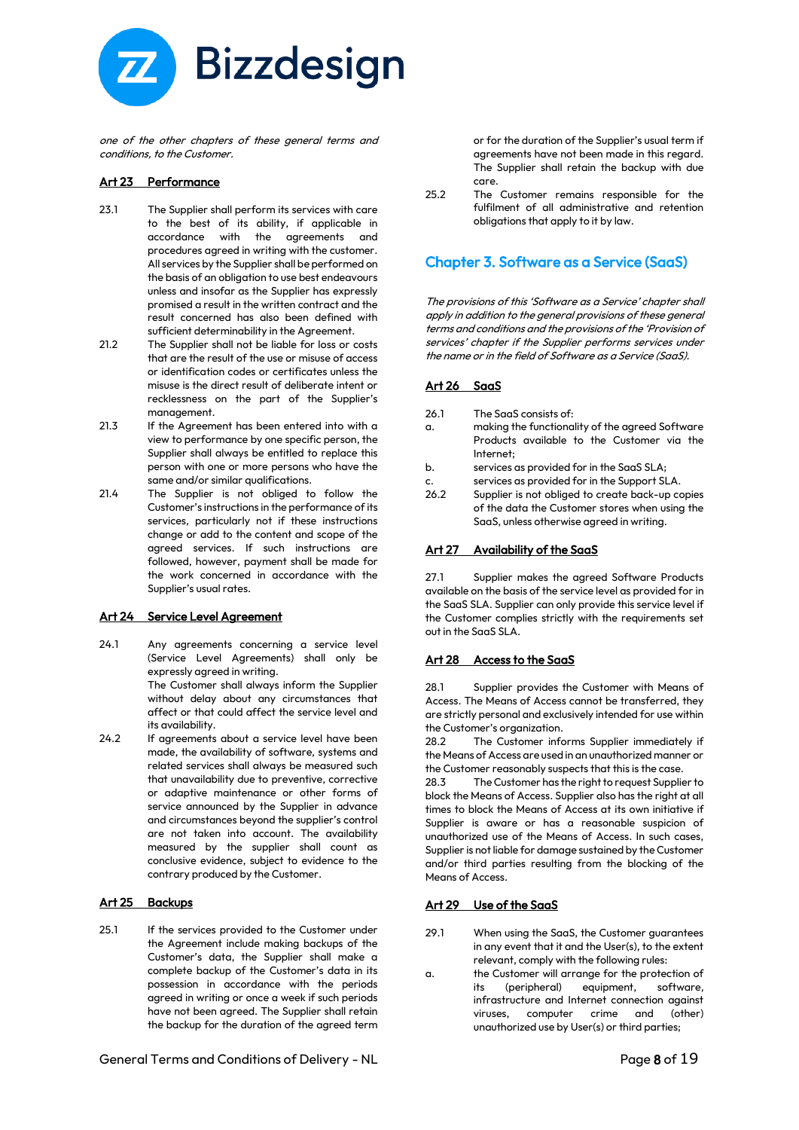

one of the other chapters of these general terms and conditions, to the Customer.

# Art 23 Performance

- 23.1 The Supplier shall perform its services with care to the best of its ability, if applicable in accordance with the agreements and procedures agreed in writing with the customer. All services by the Supplier shall be performed on the basis of an obligation to use best endeavours unless and insofar as the Supplier has expressly promised a result in the written contract and the result concerned has also been defined with sufficient determinability in the Agreement.
- 21.2 The Supplier shall not be liable for loss or costs that are the result of the use or misuse of access or identification codes or certificates unless the misuse is the direct result of deliberate intent or recklessness on the part of the Supplier's management.
- 21.3 If the Agreement has been entered into with a view to performance by one specific person, the Supplier shall always be entitled to replace this person with one or more persons who have the same and/or similar qualifications.
- 21.4 The Supplier is not obliged to follow the Customer's instructions in the performance of its services, particularly not if these instructions change or add to the content and scope of the agreed services. If such instructions are followed, however, payment shall be made for the work concerned in accordance with the Supplier's usual rates.

# Art 24 Service Level Agreement

- 24.1 Any agreements concerning a service level (Service Level Agreements) shall only be expressly agreed in writing. The Customer shall always inform the Supplier without delay about any circumstances that affect or that could affect the service level and its availability.
- 24.2 If agreements about a service level have been made, the availability of software, systems and related services shall always be measured such that unavailability due to preventive, corrective or adaptive maintenance or other forms of service announced by the Supplier in advance and circumstances beyond the supplier's control are not taken into account. The availability measured by the supplier shall count as conclusive evidence, subject to evidence to the contrary produced by the Customer.

# Art 25 Backups

25.1 If the services provided to the Customer under the Agreement include making backups of the Customer's data, the Supplier shall make a complete backup of the Customer's data in its possession in accordance with the periods agreed in writing or once a week if such periods have not been agreed. The Supplier shall retain the backup for the duration of the agreed term

or for the duration of the Supplier's usual term if agreements have not been made in this regard. The Supplier shall retain the backup with due care.

25.2 The Customer remains responsible for the fulfilment of all administrative and retention obligations that apply to it by law.

# Chapter 3. Software as a Service (SaaS)

The provisions of this 'Software as a Service' chapter shall apply in addition to the general provisions of these general terms and conditions and the provisions of the 'Provision of services' chapter if the Supplier performs services under the name or in the field of Software as a Service (SaaS).

#### Art 26 SaaS

- 26.1 The SaaS consists of:
- a. making the functionality of the agreed Software Products available to the Customer via the Internet;
- b. services as provided for in the SaaS SLA;
- c. services as provided for in the Support SLA.<br>26.2 Supplier is not obliged to create back-up co
- Supplier is not obliged to create back-up copies of the data the Customer stores when using the SaaS, unless otherwise agreed in writing.

# Art 27 Availability of the SaaS

27.1 Supplier makes the agreed Software Products available on the basis of the service level as provided for in the SaaS SLA. Supplier can only provide this service level if the Customer complies strictly with the requirements set out in the SaaS SLA.

#### Art 28 Access to the SaaS

28.1 Supplier provides the Customer with Means of Access. The Means of Access cannot be transferred, they are strictly personal and exclusively intended for use within the Customer's organization.

28.2 The Customer informs Supplier immediately if the Means of Access are used in an unauthorized manner or the Customer reasonably suspects that this is the case.

28.3 The Customer has the right to request Supplier to block the Means of Access. Supplier also has the right at all times to block the Means of Access at its own initiative if Supplier is aware or has a reasonable suspicion of unauthorized use of the Means of Access. In such cases, Supplier is not liable for damage sustained by the Customer and/or third parties resulting from the blocking of the Means of Access.

# Art 29 Use of the SaaS

- 29.1 When using the SaaS, the Customer guarantees in any event that it and the User(s), to the extent relevant, comply with the following rules:
- a. the Customer will arrange for the protection of its (peripheral) equipment, software, infrastructure and Internet connection against viruses, computer crime and (other) unauthorized use by User(s) or third parties;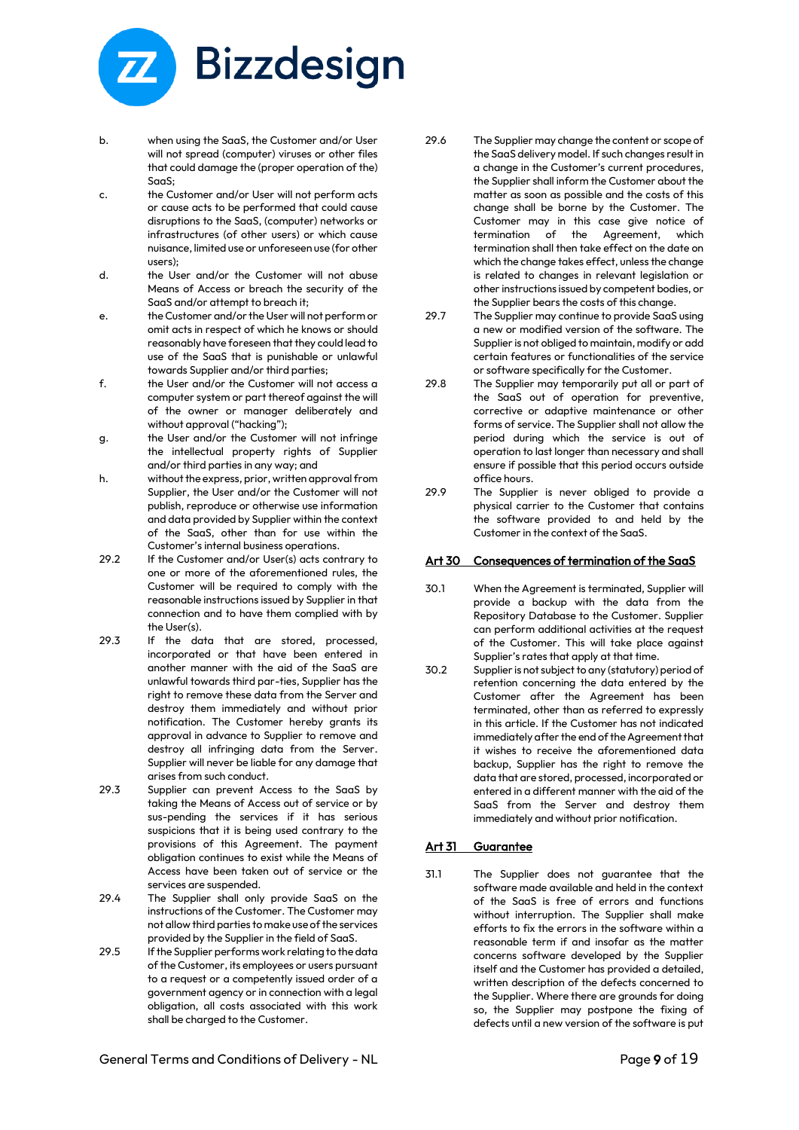

- b. when using the SaaS, the Customer and/or User will not spread (computer) viruses or other files that could damage the (proper operation of the) SaaS;
- c. the Customer and/or User will not perform acts or cause acts to be performed that could cause disruptions to the SaaS, (computer) networks or infrastructures (of other users) or which cause nuisance, limited use or unforeseen use (for other  $useer$ );
- d. the User and/or the Customer will not abuse Means of Access or breach the security of the SaaS and/or attempt to breach it;
- e. the Customer and/or the User will not perform or omit acts in respect of which he knows or should reasonably have foreseen that they could lead to use of the SaaS that is punishable or unlawful towards Supplier and/or third parties;
- f. the User and/or the Customer will not access a computer system or part thereof against the will of the owner or manager deliberately and without approval ("hacking");
- g. the User and/or the Customer will not infringe the intellectual property rights of Supplier and/or third parties in any way; and
- h. without the express, prior, written approval from Supplier, the User and/or the Customer will not publish, reproduce or otherwise use information and data provided by Supplier within the context of the SaaS, other than for use within the Customer's internal business operations.
- 29.2 If the Customer and/or User(s) acts contrary to one or more of the aforementioned rules, the Customer will be required to comply with the reasonable instructions issued by Supplier in that connection and to have them complied with by the User(s).
- 29.3 If the data that are stored, processed, incorporated or that have been entered in another manner with the aid of the SaaS are unlawful towards third par-ties, Supplier has the right to remove these data from the Server and destroy them immediately and without prior notification. The Customer hereby grants its approval in advance to Supplier to remove and destroy all infringing data from the Server. Supplier will never be liable for any damage that arises from such conduct.
- 29.3 Supplier can prevent Access to the SaaS by taking the Means of Access out of service or by sus-pending the services if it has serious suspicions that it is being used contrary to the provisions of this Agreement. The payment obligation continues to exist while the Means of Access have been taken out of service or the services are suspended.
- 29.4 The Supplier shall only provide SaaS on the instructions of the Customer. The Customer may not allow third parties to make use of the services provided by the Supplier in the field of SaaS.
- 29.5 If the Supplier performs work relating to the data of the Customer, its employees or users pursuant to a request or a competently issued order of a government agency or in connection with a legal obligation, all costs associated with this work shall be charged to the Customer.
- 29.6 The Supplier may change the content or scope of the SaaS delivery model. If such changes result in a change in the Customer's current procedures, the Supplier shall inform the Customer about the matter as soon as possible and the costs of this change shall be borne by the Customer. The Customer may in this case give notice of termination of the Agreement, which termination shall then take effect on the date on which the change takes effect, unless the change is related to changes in relevant legislation or other instructions issued by competent bodies, or the Supplier bears the costs of this change.
- 29.7 The Supplier may continue to provide SaaS using a new or modified version of the software. The Supplier is not obliged to maintain, modify or add certain features or functionalities of the service or software specifically for the Customer.
- 29.8 The Supplier may temporarily put all or part of the SaaS out of operation for preventive, corrective or adaptive maintenance or other forms of service. The Supplier shall not allow the period during which the service is out of operation to last longer than necessary and shall ensure if possible that this period occurs outside office hours.
- 29.9 The Supplier is never obliged to provide a physical carrier to the Customer that contains the software provided to and held by the Customer in the context of the SaaS.

# Art 30 Consequences of termination of the SaaS

- 30.1 When the Agreement is terminated, Supplier will provide a backup with the data from the Repository Database to the Customer. Supplier can perform additional activities at the request of the Customer. This will take place against Supplier's rates that apply at that time.
- 30.2 Supplier is not subject to any (statutory) period of retention concerning the data entered by the Customer after the Agreement has been terminated, other than as referred to expressly in this article. If the Customer has not indicated immediately after the end of the Agreement that it wishes to receive the aforementioned data backup, Supplier has the right to remove the data that are stored, processed, incorporated or entered in a different manner with the aid of the SaaS from the Server and destroy them immediately and without prior notification.

# Art 31 Guarantee

31.1 The Supplier does not guarantee that the software made available and held in the context of the SaaS is free of errors and functions without interruption. The Supplier shall make efforts to fix the errors in the software within a reasonable term if and insofar as the matter concerns software developed by the Supplier itself and the Customer has provided a detailed, written description of the defects concerned to the Supplier. Where there are grounds for doing so, the Supplier may postpone the fixing of defects until a new version of the software is put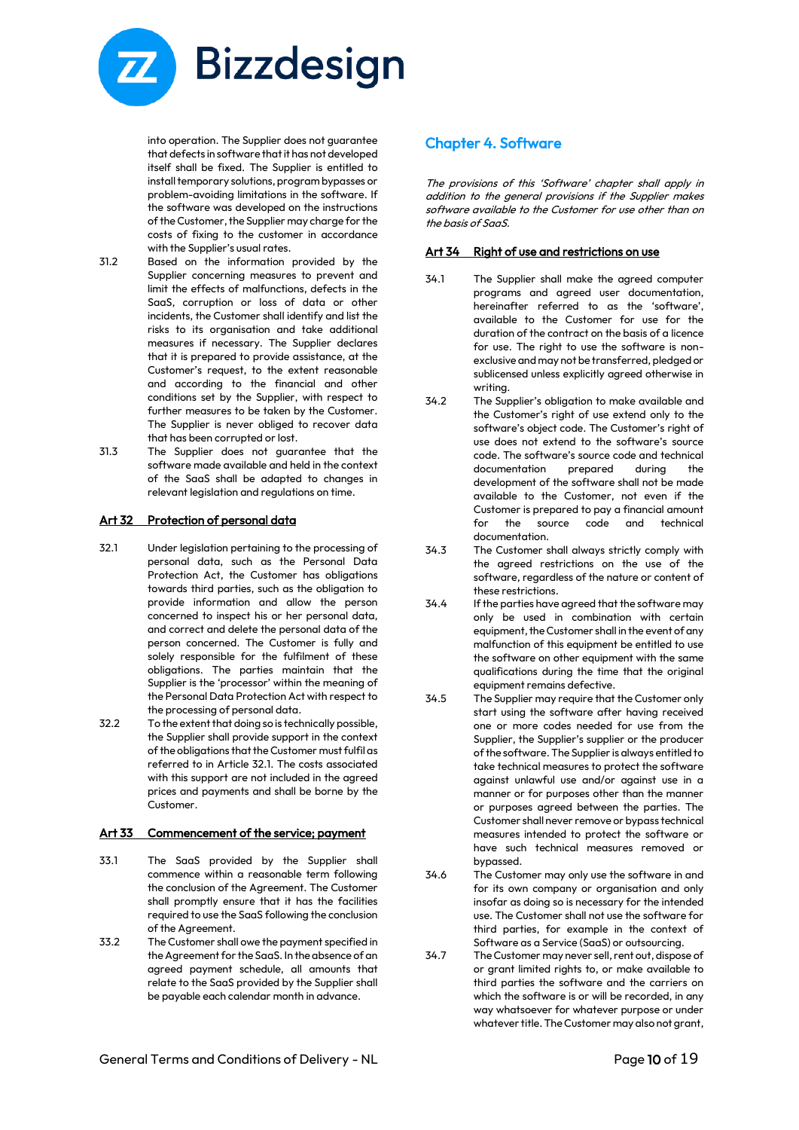

into operation. The Supplier does not guarantee that defects in software that it has not developed itself shall be fixed. The Supplier is entitled to install temporary solutions, program bypasses or problem-avoiding limitations in the software. If the software was developed on the instructions of the Customer, the Supplier may charge for the costs of fixing to the customer in accordance with the Supplier's usual rates.

- 31.2 Based on the information provided by the Supplier concerning measures to prevent and limit the effects of malfunctions, defects in the SaaS, corruption or loss of data or other incidents, the Customer shall identify and list the risks to its organisation and take additional measures if necessary. The Supplier declares that it is prepared to provide assistance, at the Customer's request, to the extent reasonable and according to the financial and other conditions set by the Supplier, with respect to further measures to be taken by the Customer. The Supplier is never obliged to recover data that has been corrupted or lost.
- 31.3 The Supplier does not guarantee that the software made available and held in the context of the SaaS shall be adapted to changes in relevant legislation and regulations on time.

# Art 32 Protection of personal data

- 32.1 Under legislation pertaining to the processing of personal data, such as the Personal Data Protection Act, the Customer has obligations towards third parties, such as the obligation to provide information and allow the person concerned to inspect his or her personal data, and correct and delete the personal data of the person concerned. The Customer is fully and solely responsible for the fulfilment of these obligations. The parties maintain that the Supplier is the 'processor' within the meaning of the Personal Data Protection Act with respect to the processing of personal data.
- 32.2 To the extent that doing so is technically possible, the Supplier shall provide support in the context of the obligations that the Customer must fulfil as referred to in Article 32.1. The costs associated with this support are not included in the agreed prices and payments and shall be borne by the Customer.

#### Art 33 Commencement of the service; payment

- 33.1 The SaaS provided by the Supplier shall commence within a reasonable term following the conclusion of the Agreement. The Customer shall promptly ensure that it has the facilities required to use the SaaS following the conclusion of the Agreement.
- 33.2 The Customer shall owe the payment specified in the Agreement for the SaaS. In the absence of an agreed payment schedule, all amounts that relate to the SaaS provided by the Supplier shall be payable each calendar month in advance.

# Chapter 4. Software

The provisions of this 'Software' chapter shall apply in addition to the general provisions if the Supplier makes software available to the Customer for use other than on the basis of SaaS.

# Art 34 Right of use and restrictions on use

- 34.1 The Supplier shall make the agreed computer programs and agreed user documentation, hereinafter referred to as the 'software', available to the Customer for use for the duration of the contract on the basis of a licence for use. The right to use the software is nonexclusive and may not be transferred, pledged or sublicensed unless explicitly agreed otherwise in writing.
- 34.2 The Supplier's obligation to make available and the Customer's right of use extend only to the software's object code. The Customer's right of use does not extend to the software's source code. The software's source code and technical documentation prepared during the development of the software shall not be made available to the Customer, not even if the Customer is prepared to pay a financial amount for the source code and technical documentation.
- 34.3 The Customer shall always strictly comply with the agreed restrictions on the use of the software, regardless of the nature or content of these restrictions.
- 34.4 If the parties have agreed that the software may only be used in combination with certain equipment, the Customer shall in the event of any malfunction of this equipment be entitled to use the software on other equipment with the same qualifications during the time that the original equipment remains defective.
- 34.5 The Supplier may require that the Customer only start using the software after having received one or more codes needed for use from the Supplier, the Supplier's supplier or the producer of the software. The Supplier is always entitled to take technical measures to protect the software against unlawful use and/or against use in a manner or for purposes other than the manner or purposes agreed between the parties. The Customer shall never remove or bypass technical measures intended to protect the software or have such technical measures removed or bypassed.
- 34.6 The Customer may only use the software in and for its own company or organisation and only insofar as doing so is necessary for the intended use. The Customer shall not use the software for third parties, for example in the context of Software as a Service (SaaS) or outsourcing.
- 34.7 The Customer may never sell, rent out, dispose of or grant limited rights to, or make available to third parties the software and the carriers on which the software is or will be recorded, in any way whatsoever for whatever purpose or under whatever title. The Customer may also not grant,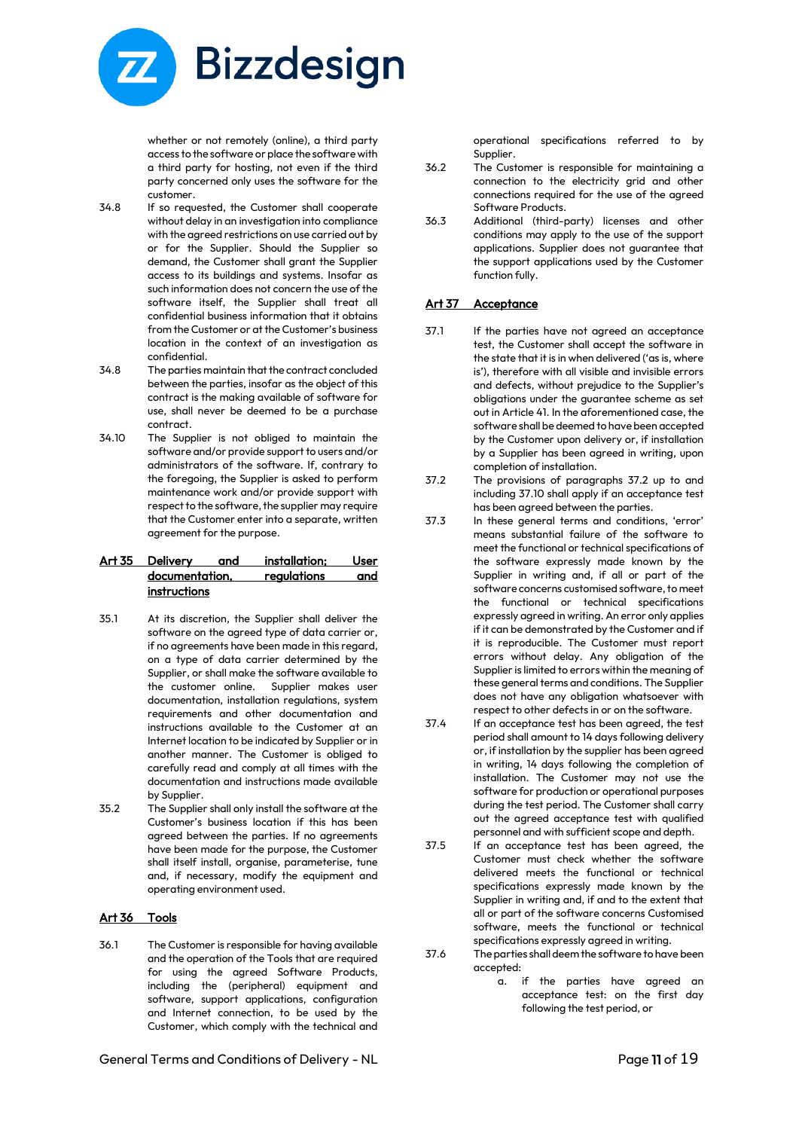

whether or not remotely (online), a third party access to the software or place the software with a third party for hosting, not even if the third party concerned only uses the software for the customer.

- 34.8 If so requested, the Customer shall cooperate without delay in an investigation into compliance with the agreed restrictions on use carried out by or for the Supplier. Should the Supplier so demand, the Customer shall grant the Supplier access to its buildings and systems. Insofar as such information does not concern the use of the software itself, the Supplier shall treat all confidential business information that it obtains from the Customer or at the Customer's business location in the context of an investigation as confidential.
- 34.8 The parties maintain that the contract concluded between the parties, insofar as the object of this contract is the making available of software for use, shall never be deemed to be a purchase contract.
- 34.10 The Supplier is not obliged to maintain the software and/or provide support to users and/or administrators of the software. If, contrary to the foregoing, the Supplier is asked to perform maintenance work and/or provide support with respect to the software, the supplier may require that the Customer enter into a separate, written agreement for the purpose.

#### Art 35 Delivery and installation; User documentation, regulations and **instructions**

- 35.1 At its discretion, the Supplier shall deliver the software on the agreed type of data carrier or, if no agreements have been made in this regard, on a type of data carrier determined by the Supplier, or shall make the software available to the customer online. Supplier makes user documentation, installation regulations, system requirements and other documentation and instructions available to the Customer at an Internet location to be indicated by Supplier or in another manner. The Customer is obliged to carefully read and comply at all times with the documentation and instructions made available by Supplier.
- 35.2 The Supplier shall only install the software at the Customer's business location if this has been agreed between the parties. If no agreements have been made for the purpose, the Customer shall itself install, organise, parameterise, tune and, if necessary, modify the equipment and operating environment used.

# Art 36 Tools

36.1 The Customer is responsible for having available and the operation of the Tools that are required for using the agreed Software Products, including the (peripheral) equipment and software, support applications, configuration and Internet connection, to be used by the Customer, which comply with the technical and

General Terms and Conditions of Delivery - NL **Page 11** of 19

operational specifications referred to by Supplier.

- 36.2 The Customer is responsible for maintaining a connection to the electricity grid and other connections required for the use of the agreed Software Products.
- 36.3 Additional (third-party) licenses and other conditions may apply to the use of the support applications. Supplier does not guarantee that the support applications used by the Customer function fully.

# Art 37 Acceptance

- 37.1 If the parties have not agreed an acceptance test, the Customer shall accept the software in the state that it is in when delivered ('as is, where is'), therefore with all visible and invisible errors and defects, without prejudice to the Supplier's obligations under the guarantee scheme as set out in Article 41. In the aforementioned case, the software shall be deemed to have been accepted by the Customer upon delivery or, if installation by a Supplier has been agreed in writing, upon completion of installation.
- 37.2 The provisions of paragraphs 37.2 up to and including 37.10 shall apply if an acceptance test has been agreed between the parties.
- 37.3 In these general terms and conditions, 'error' means substantial failure of the software to meet the functional or technical specifications of the software expressly made known by the Supplier in writing and, if all or part of the software concerns customised software, to meet the functional or technical specifications expressly agreed in writing. An error only applies if it can be demonstrated by the Customer and if it is reproducible. The Customer must report errors without delay. Any obligation of the Supplier is limited to errors within the meaning of these general terms and conditions. The Supplier does not have any obligation whatsoever with respect to other defects in or on the software.
- 37.4 If an acceptance test has been agreed, the test period shall amount to 14 days following delivery or, if installation by the supplier has been agreed in writing, 14 days following the completion of installation. The Customer may not use the software for production or operational purposes during the test period. The Customer shall carry out the agreed acceptance test with qualified personnel and with sufficient scope and depth.
- 37.5 If an acceptance test has been agreed, the Customer must check whether the software delivered meets the functional or technical specifications expressly made known by the Supplier in writing and, if and to the extent that all or part of the software concerns Customised software, meets the functional or technical specifications expressly agreed in writing.
- 37.6 The parties shall deem the software to have been accepted:
	- a. if the parties have agreed an acceptance test: on the first day following the test period, or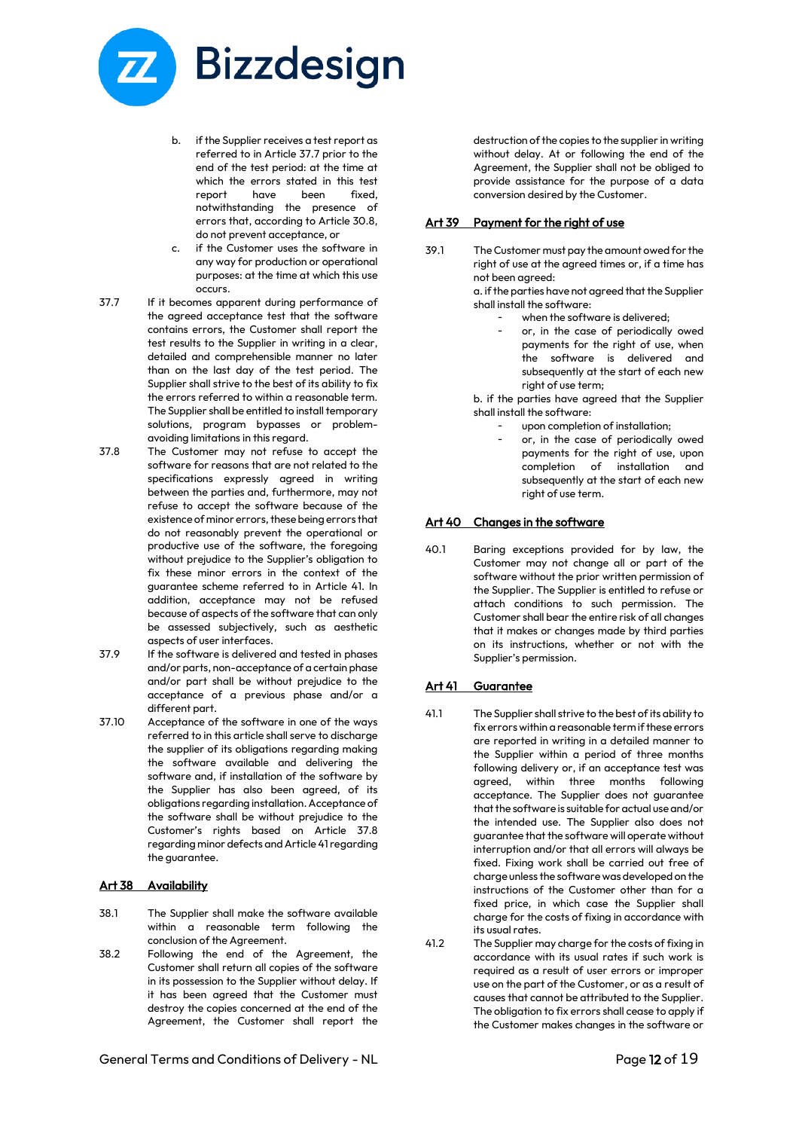

- b. if the Supplier receives a test report as referred to in Article 37.7 prior to the end of the test period: at the time at which the errors stated in this test report have been fixed, notwithstanding the presence of errors that, according to Article 30.8, do not prevent acceptance, or
- c. if the Customer uses the software in any way for production or operational purposes: at the time at which this use occurs.
- 37.7 If it becomes apparent during performance of the agreed acceptance test that the software contains errors, the Customer shall report the test results to the Supplier in writing in a clear, detailed and comprehensible manner no later than on the last day of the test period. The Supplier shall strive to the best of its ability to fix the errors referred to within a reasonable term. The Supplier shall be entitled to install temporary solutions, program bypasses or problemavoiding limitations in this regard.
- 37.8 The Customer may not refuse to accept the software for reasons that are not related to the specifications expressly agreed in writing between the parties and, furthermore, may not refuse to accept the software because of the existence of minor errors, these being errors that do not reasonably prevent the operational or productive use of the software, the foregoing without prejudice to the Supplier's obligation to fix these minor errors in the context of the guarantee scheme referred to in Article 41. In addition, acceptance may not be refused because of aspects of the software that can only be assessed subjectively, such as aesthetic aspects of user interfaces.
- 37.9 If the software is delivered and tested in phases and/or parts, non-acceptance of a certain phase and/or part shall be without prejudice to the acceptance of a previous phase and/or a different part.
- 37.10 Acceptance of the software in one of the ways referred to in this article shall serve to discharge the supplier of its obligations regarding making the software available and delivering the software and, if installation of the software by the Supplier has also been agreed, of its obligations regarding installation. Acceptance of the software shall be without prejudice to the Customer's rights based on Article 37.8 regarding minor defects and Article 41 regarding the guarantee.

# Art 38 Availability

- 38.1 The Supplier shall make the software available within a reasonable term following the conclusion of the Agreement.
- 38.2 Following the end of the Agreement, the Customer shall return all copies of the software in its possession to the Supplier without delay. If it has been agreed that the Customer must destroy the copies concerned at the end of the Agreement, the Customer shall report the

destruction of the copies to the supplier in writing without delay. At or following the end of the Agreement, the Supplier shall not be obliged to provide assistance for the purpose of a data conversion desired by the Customer.

#### Art 39 Payment for the right of use

39.1 The Customer must pay the amount owed for the right of use at the agreed times or, if a time has not been agreed:

> a. if the parties have not agreed that the Supplier shall install the software:

- when the software is delivered;
- or, in the case of periodically owed payments for the right of use, when the software is delivered and subsequently at the start of each new right of use term;

b. if the parties have agreed that the Supplier shall install the software:

- upon completion of installation:
- or, in the case of periodically owed payments for the right of use, upon completion of installation and subsequently at the start of each new right of use term.

# Art 40 Changes in the software

40.1 Baring exceptions provided for by law, the Customer may not change all or part of the software without the prior written permission of the Supplier. The Supplier is entitled to refuse or attach conditions to such permission. The Customer shall bear the entire risk of all changes that it makes or changes made by third parties on its instructions, whether or not with the Supplier's permission.

#### Art 41 Guarantee

- 41.1 The Supplier shall strive to the best of its ability to fix errors within a reasonable term if these errors are reported in writing in a detailed manner to the Supplier within a period of three months following delivery or, if an acceptance test was agreed, within three months following acceptance. The Supplier does not guarantee that the software is suitable for actual use and/or the intended use. The Supplier also does not guarantee that the software will operate without interruption and/or that all errors will always be fixed. Fixing work shall be carried out free of charge unless the software was developed on the instructions of the Customer other than for a fixed price, in which case the Supplier shall charge for the costs of fixing in accordance with its usual rates.
- 41.2 The Supplier may charge for the costs of fixing in accordance with its usual rates if such work is required as a result of user errors or improper use on the part of the Customer, or as a result of causes that cannot be attributed to the Supplier. The obligation to fix errors shall cease to apply if the Customer makes changes in the software or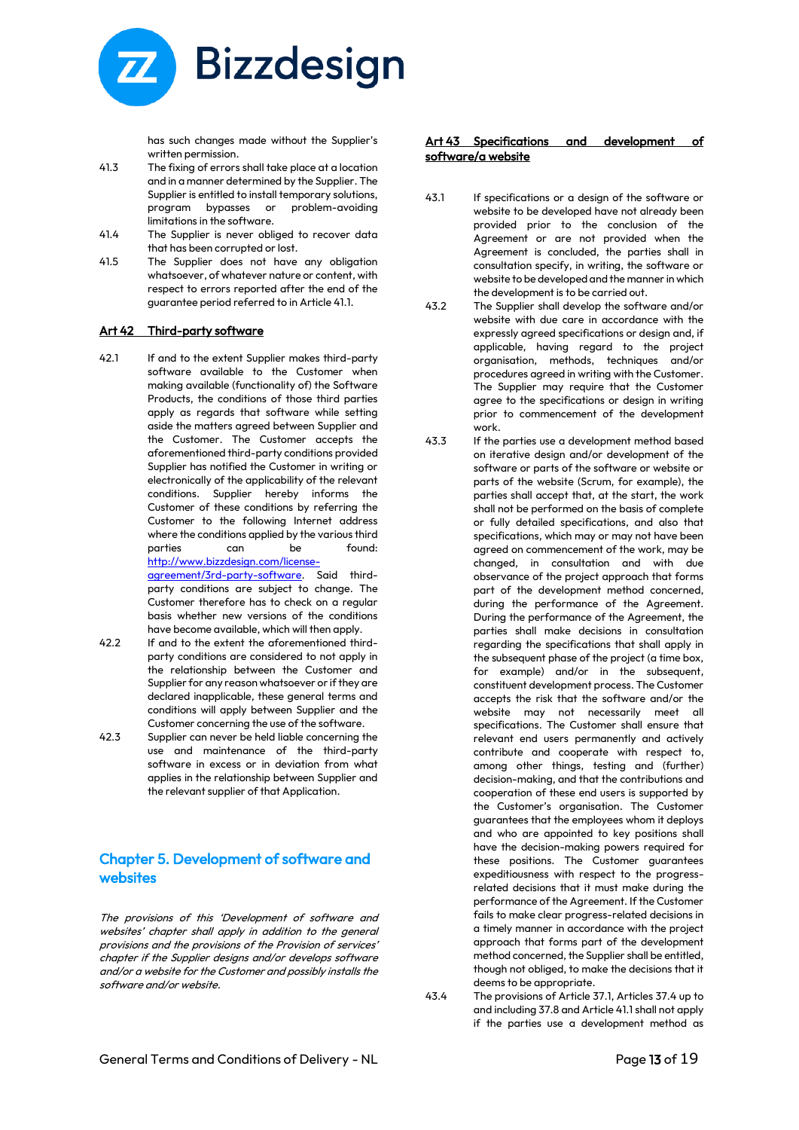

has such changes made without the Supplier's written permission.

- 41.3 The fixing of errors shall take place at a location and in a manner determined by the Supplier. The Supplier is entitled to install temporary solutions, program bypasses or problem-avoiding limitations in the software.
- 41.4 The Supplier is never obliged to recover data that has been corrupted or lost.
- 41.5 The Supplier does not have any obligation whatsoever, of whatever nature or content, with respect to errors reported after the end of the guarantee period referred to in Article 41.1.

#### Art 42 Third-party software

- 42.1 If and to the extent Supplier makes third-party software available to the Customer when making available (functionality of) the Software Products, the conditions of those third parties apply as regards that software while setting aside the matters agreed between Supplier and the Customer. The Customer accepts the aforementioned third-party conditions provided Supplier has notified the Customer in writing or electronically of the applicability of the relevant conditions. Supplier hereby informs the Customer of these conditions by referring the Customer to the following Internet address where the conditions applied by the various third parties can be found: [http://www.bizzdesign.com/license](http://www.bizzdesign.com/license-agreement/3rd-party-software)[agreement/3rd-party-software.](http://www.bizzdesign.com/license-agreement/3rd-party-software) Said thirdparty conditions are subject to change. The Customer therefore has to check on a regular basis whether new versions of the conditions have become available, which will then apply. 42.2 If and to the extent the aforementioned thirdparty conditions are considered to not apply in
- the relationship between the Customer and Supplier for any reason whatsoever or if they are declared inapplicable, these general terms and conditions will apply between Supplier and the Customer concerning the use of the software. 42.3 Supplier can never be held liable concerning the
- use and maintenance of the third-party software in excess or in deviation from what applies in the relationship between Supplier and the relevant supplier of that Application.

# Chapter 5. Development of software and websites

The provisions of this 'Development of software and websites' chapter shall apply in addition to the general provisions and the provisions of the Provision of services' chapter if the Supplier designs and/or develops software and/or a website for the Customer and possibly installs the software and/or website.

# Art 43 Specifications and development of software/a website

- 43.1 If specifications or a design of the software or website to be developed have not already been provided prior to the conclusion of the Agreement or are not provided when the Agreement is concluded, the parties shall in consultation specify, in writing, the software or website to be developed and the manner in which the development is to be carried out.
- 43.2 The Supplier shall develop the software and/or website with due care in accordance with the expressly agreed specifications or design and, if applicable, having regard to the project organisation, methods, techniques and/or procedures agreed in writing with the Customer. The Supplier may require that the Customer agree to the specifications or design in writing prior to commencement of the development work.
- 43.3 If the parties use a development method based on iterative design and/or development of the software or parts of the software or website or parts of the website (Scrum, for example), the parties shall accept that, at the start, the work shall not be performed on the basis of complete or fully detailed specifications, and also that specifications, which may or may not have been agreed on commencement of the work, may be changed, in consultation and with due observance of the project approach that forms part of the development method concerned, during the performance of the Agreement. During the performance of the Agreement, the parties shall make decisions in consultation regarding the specifications that shall apply in the subsequent phase of the project (a time box, for example) and/or in the subsequent, constituent development process. The Customer accepts the risk that the software and/or the website may not necessarily meet all specifications. The Customer shall ensure that relevant end users permanently and actively contribute and cooperate with respect to, among other things, testing and (further) decision-making, and that the contributions and cooperation of these end users is supported by the Customer's organisation. The Customer guarantees that the employees whom it deploys and who are appointed to key positions shall have the decision-making powers required for these positions. The Customer guarantees expeditiousness with respect to the progressrelated decisions that it must make during the performance of the Agreement. If the Customer fails to make clear progress-related decisions in a timely manner in accordance with the project approach that forms part of the development method concerned, the Supplier shall be entitled, though not obliged, to make the decisions that it deems to be appropriate.
- 43.4 The provisions of Article 37.1, Articles 37.4 up to and including 37.8 and Article 41.1 shall not apply if the parties use a development method as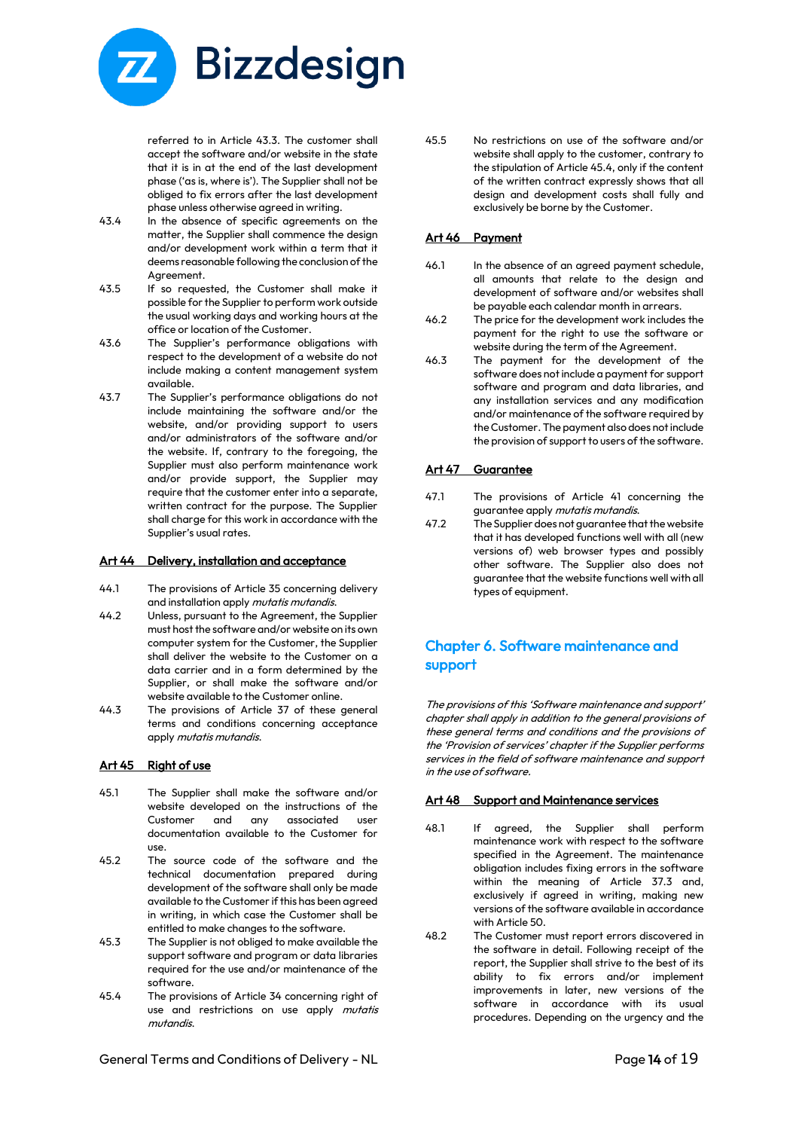

referred to in Article 43.3. The customer shall accept the software and/or website in the state that it is in at the end of the last development phase ('as is, where is'). The Supplier shall not be obliged to fix errors after the last development phase unless otherwise agreed in writing.

- 43.4 In the absence of specific agreements on the matter, the Supplier shall commence the design and/or development work within a term that it deems reasonable following the conclusion of the Agreement.
- 43.5 If so requested, the Customer shall make it possible for the Supplier to perform work outside the usual working days and working hours at the office or location of the Customer.
- 43.6 The Supplier's performance obligations with respect to the development of a website do not include making a content management system available.
- 43.7 The Supplier's performance obligations do not include maintaining the software and/or the website, and/or providing support to users and/or administrators of the software and/or the website. If, contrary to the foregoing, the Supplier must also perform maintenance work and/or provide support, the Supplier may require that the customer enter into a separate, written contract for the purpose. The Supplier shall charge for this work in accordance with the Supplier's usual rates.

#### Art 44 Delivery, installation and acceptance

- 44.1 The provisions of Article 35 concerning delivery and installation apply mutatis mutandis.
- 44.2 Unless, pursuant to the Agreement, the Supplier must host the software and/or website on its own computer system for the Customer, the Supplier shall deliver the website to the Customer on a data carrier and in a form determined by the Supplier, or shall make the software and/or website available to the Customer online.
- 44.3 The provisions of Article 37 of these general terms and conditions concerning acceptance apply mutatis mutandis.

#### Art 45 Right of use

- 45.1 The Supplier shall make the software and/or website developed on the instructions of the Customer and any associated user documentation available to the Customer for use.
- 45.2 The source code of the software and the technical documentation prepared during development of the software shall only be made available to the Customer if this has been agreed in writing, in which case the Customer shall be entitled to make changes to the software.
- 45.3 The Supplier is not obliged to make available the support software and program or data libraries required for the use and/or maintenance of the software.
- 45.4 The provisions of Article 34 concerning right of use and restrictions on use apply mutatis mutandis.

45.5 No restrictions on use of the software and/or website shall apply to the customer, contrary to the stipulation of Article 45.4, only if the content of the written contract expressly shows that all design and development costs shall fully and exclusively be borne by the Customer.

#### Art 46 Payment

- 46.1 In the absence of an agreed payment schedule, all amounts that relate to the design and development of software and/or websites shall be payable each calendar month in arrears.
- 46.2 The price for the development work includes the payment for the right to use the software or website during the term of the Agreement.
- 46.3 The payment for the development of the software does not include a payment for support software and program and data libraries, and any installation services and any modification and/or maintenance of the software required by the Customer. The payment also does not include the provision of support to users of the software.

#### Art 47 Guarantee

- 47.1 The provisions of Article 41 concerning the guarantee apply *mutatis mutandis*.
- 47.2 The Supplier does not guarantee that the website that it has developed functions well with all (new versions of) web browser types and possibly other software. The Supplier also does not guarantee that the website functions well with all types of equipment.

# Chapter 6. Software maintenance and support

The provisions of this 'Software maintenance and support' chapter shall apply in addition to the general provisions of these general terms and conditions and the provisions of the 'Provision of services' chapter if the Supplier performs services in the field of software maintenance and support in the use of software.

#### Art 48 Support and Maintenance services

- 48.1 If agreed, the Supplier shall perform maintenance work with respect to the software specified in the Agreement. The maintenance obligation includes fixing errors in the software within the meaning of Article 37.3 and, exclusively if agreed in writing, making new versions of the software available in accordance with Article 50.
- 48.2 The Customer must report errors discovered in the software in detail. Following receipt of the report, the Supplier shall strive to the best of its ability to fix errors and/or implement improvements in later, new versions of the software in accordance with its usual procedures. Depending on the urgency and the

General Terms and Conditions of Delivery - NL **Example 20 and Seneral Terms** and Conditions of Delivery - NL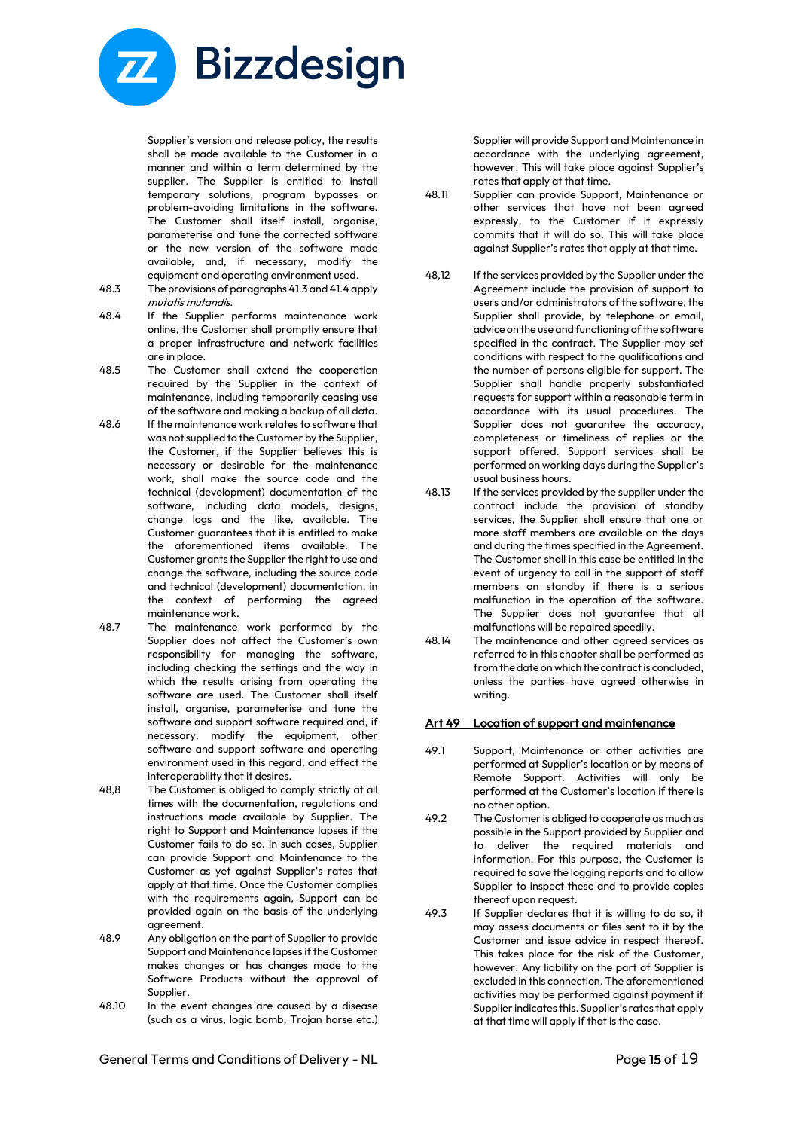

Supplier's version and release policy, the results shall be made available to the Customer in a manner and within a term determined by the supplier. The Supplier is entitled to install temporary solutions, program bypasses or problem-avoiding limitations in the software. The Customer shall itself install, organise, parameterise and tune the corrected software or the new version of the software made available, and, if necessary, modify the equipment and operating environment used.

- 48.3 The provisions of paragraphs 41.3 and 41.4 apply mutatis mutandis.
- 48.4 If the Supplier performs maintenance work online, the Customer shall promptly ensure that a proper infrastructure and network facilities are in place.
- 48.5 The Customer shall extend the cooperation required by the Supplier in the context of maintenance, including temporarily ceasing use of the software and making a backup of all data.
- 48.6 If the maintenance work relates to software that was not supplied to the Customer by the Supplier, the Customer, if the Supplier believes this is necessary or desirable for the maintenance work, shall make the source code and the technical (development) documentation of the software, including data models, designs, change logs and the like, available. The Customer guarantees that it is entitled to make the aforementioned items available. The Customer grants the Supplier the right to use and change the software, including the source code and technical (development) documentation, in the context of performing the agreed maintenance work.
- 48.7 The maintenance work performed by the Supplier does not affect the Customer's own responsibility for managing the software, including checking the settings and the way in which the results arising from operating the software are used. The Customer shall itself install, organise, parameterise and tune the software and support software required and, if necessary, modify the equipment, other software and support software and operating environment used in this regard, and effect the interoperability that it desires.
- 48,8 The Customer is obliged to comply strictly at all times with the documentation, regulations and instructions made available by Supplier. The right to Support and Maintenance lapses if the Customer fails to do so. In such cases, Supplier can provide Support and Maintenance to the Customer as yet against Supplier's rates that apply at that time. Once the Customer complies with the requirements again, Support can be provided again on the basis of the underlying agreement.
- 48.9 Any obligation on the part of Supplier to provide Support and Maintenance lapses if the Customer makes changes or has changes made to the Software Products without the approval of Supplier.
- 48.10 In the event changes are caused by a disease (such as a virus, logic bomb, Trojan horse etc.)

Supplier will provide Support and Maintenance in accordance with the underlying agreement, however. This will take place against Supplier's rates that apply at that time.

- 48.11 Supplier can provide Support, Maintenance or other services that have not been agreed expressly, to the Customer if it expressly commits that it will do so. This will take place against Supplier's rates that apply at that time.
- 48,12 If the services provided by the Supplier under the Agreement include the provision of support to users and/or administrators of the software, the Supplier shall provide, by telephone or email, advice on the use and functioning of the software specified in the contract. The Supplier may set conditions with respect to the qualifications and the number of persons eligible for support. The Supplier shall handle properly substantiated requests for support within a reasonable term in accordance with its usual procedures. The Supplier does not guarantee the accuracy, completeness or timeliness of replies or the support offered. Support services shall be performed on working days during the Supplier's usual business hours.
- 48.13 If the services provided by the supplier under the contract include the provision of standby services, the Supplier shall ensure that one or more staff members are available on the days and during the times specified in the Agreement. The Customer shall in this case be entitled in the event of urgency to call in the support of staff members on standby if there is a serious malfunction in the operation of the software. The Supplier does not guarantee that all malfunctions will be repaired speedily.
- 48.14 The maintenance and other agreed services as referred to in this chapter shall be performed as from the date on which the contract is concluded, unless the parties have agreed otherwise in writing.

# Art 49 Location of support and maintenance

- 49.1 Support, Maintenance or other activities are performed at Supplier's location or by means of Remote Support. Activities will only be performed at the Customer's location if there is no other option.
- 49.2 The Customer is obliged to cooperate as much as possible in the Support provided by Supplier and to deliver the required materials and information. For this purpose, the Customer is required to save the logging reports and to allow Supplier to inspect these and to provide copies thereof upon request.
- 49.3 If Supplier declares that it is willing to do so, it may assess documents or files sent to it by the Customer and issue advice in respect thereof. This takes place for the risk of the Customer, however. Any liability on the part of Supplier is excluded in this connection. The aforementioned activities may be performed against payment if Supplier indicates this. Supplier's rates that apply at that time will apply if that is the case.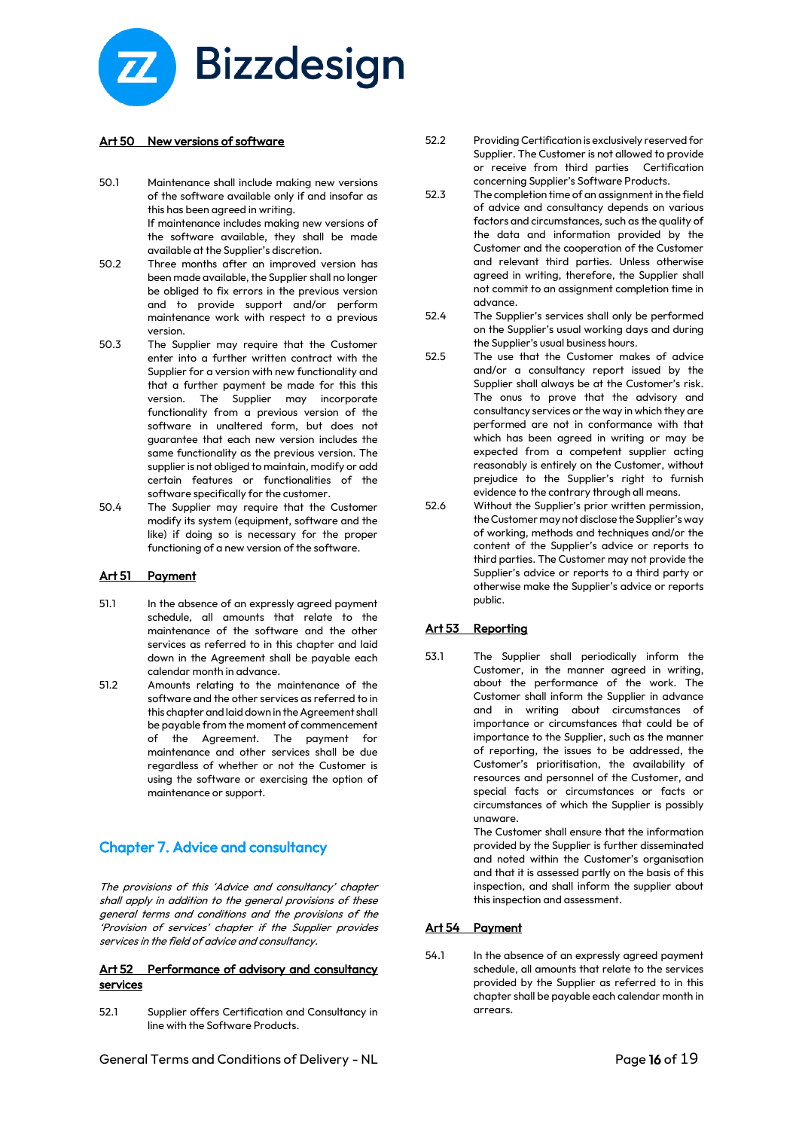

# Art 50 New versions of software

- 50.1 Maintenance shall include making new versions of the software available only if and insofar as this has been agreed in writing. If maintenance includes making new versions of the software available, they shall be made available at the Supplier's discretion.
- 50.2 Three months after an improved version has been made available, the Supplier shall no longer be obliged to fix errors in the previous version and to provide support and/or perform maintenance work with respect to a previous version.
- 50.3 The Supplier may require that the Customer enter into a further written contract with the Supplier for a version with new functionality and that a further payment be made for this this version. The Supplier may incorporate functionality from a previous version of the software in unaltered form, but does not guarantee that each new version includes the same functionality as the previous version. The supplier is not obliged to maintain, modify or add certain features or functionalities of the software specifically for the customer.
- 50.4 The Supplier may require that the Customer modify its system (equipment, software and the like) if doing so is necessary for the proper functioning of a new version of the software.

# Art 51 Payment

- 51.1 In the absence of an expressly agreed payment schedule, all amounts that relate to the maintenance of the software and the other services as referred to in this chapter and laid down in the Agreement shall be payable each calendar month in advance.
- 51.2 Amounts relating to the maintenance of the software and the other services as referred to in this chapter and laid down in the Agreement shall be payable from the moment of commencement of the Agreement. The payment for maintenance and other services shall be due regardless of whether or not the Customer is using the software or exercising the option of maintenance or support.

# Chapter 7. Advice and consultancy

The provisions of this 'Advice and consultancy' chapter shall apply in addition to the general provisions of these general terms and conditions and the provisions of the 'Provision of services' chapter if the Supplier provides services in the field of advice and consultancy.

#### Art 52 Performance of advisory and consultancy services

52.1 Supplier offers Certification and Consultancy in line with the Software Products.

General Terms and Conditions of Delivery - NL **Example 20 and Seneral Terms** and Conditions of Delivery - NL

- 52.2 Providing Certification is exclusively reserved for Supplier. The Customer is not allowed to provide or receive from third parties Certification concerning Supplier's Software Products.
- 52.3 The completion time of an assignment in the field of advice and consultancy depends on various factors and circumstances, such as the quality of the data and information provided by the Customer and the cooperation of the Customer and relevant third parties. Unless otherwise agreed in writing, therefore, the Supplier shall not commit to an assignment completion time in advance.
- 52.4 The Supplier's services shall only be performed on the Supplier's usual working days and during the Supplier's usual business hours.
- 52.5 The use that the Customer makes of advice and/or a consultancy report issued by the Supplier shall always be at the Customer's risk. The onus to prove that the advisory and consultancy services or the way in which they are performed are not in conformance with that which has been agreed in writing or may be expected from a competent supplier acting reasonably is entirely on the Customer, without prejudice to the Supplier's right to furnish evidence to the contrary through all means.
- 52.6 Without the Supplier's prior written permission, the Customer may not disclose the Supplier's way of working, methods and techniques and/or the content of the Supplier's advice or reports to third parties. The Customer may not provide the Supplier's advice or reports to a third party or otherwise make the Supplier's advice or reports public.

# Art 53 Reporting

53.1 The Supplier shall periodically inform the Customer, in the manner agreed in writing, about the performance of the work. The Customer shall inform the Supplier in advance and in writing about circumstances of importance or circumstances that could be of importance to the Supplier, such as the manner of reporting, the issues to be addressed, the Customer's prioritisation, the availability of resources and personnel of the Customer, and special facts or circumstances or facts or circumstances of which the Supplier is possibly unaware.

> The Customer shall ensure that the information provided by the Supplier is further disseminated and noted within the Customer's organisation and that it is assessed partly on the basis of this inspection, and shall inform the supplier about this inspection and assessment.

# Art 54 Payment

54.1 In the absence of an expressly agreed payment schedule, all amounts that relate to the services provided by the Supplier as referred to in this chapter shall be payable each calendar month in arrears.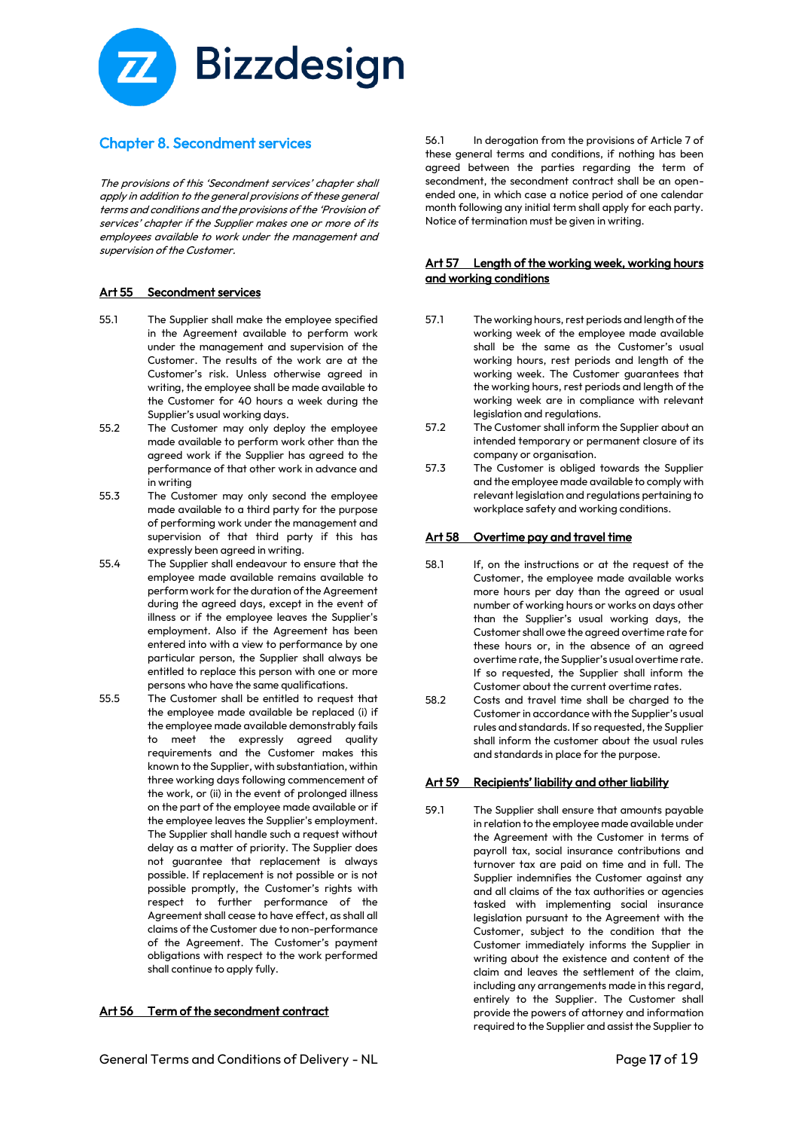

# Chapter 8. Secondment services

The provisions of this 'Secondment services' chapter shall apply in addition to the general provisions of these general terms and conditions and the provisions of the 'Provision of services' chapter if the Supplier makes one or more of its employees available to work under the management and supervision of the Customer.

# Art 55 Secondment services

- 55.1 The Supplier shall make the employee specified in the Agreement available to perform work under the management and supervision of the Customer. The results of the work are at the Customer's risk. Unless otherwise agreed in writing, the employee shall be made available to the Customer for 40 hours a week during the Supplier's usual working days.
- 55.2 The Customer may only deploy the employee made available to perform work other than the agreed work if the Supplier has agreed to the performance of that other work in advance and in writing
- 55.3 The Customer may only second the employee made available to a third party for the purpose of performing work under the management and supervision of that third party if this has expressly been agreed in writing.
- 55.4 The Supplier shall endeavour to ensure that the employee made available remains available to perform work for the duration of the Agreement during the agreed days, except in the event of illness or if the employee leaves the Supplier's employment. Also if the Agreement has been entered into with a view to performance by one particular person, the Supplier shall always be entitled to replace this person with one or more persons who have the same qualifications.
- 55.5 The Customer shall be entitled to request that the employee made available be replaced (i) if the employee made available demonstrably fails to meet the expressly agreed quality requirements and the Customer makes this known to the Supplier, with substantiation, within three working days following commencement of the work, or (ii) in the event of prolonged illness on the part of the employee made available or if the employee leaves the Supplier's employment. The Supplier shall handle such a request without delay as a matter of priority. The Supplier does not guarantee that replacement is always possible. If replacement is not possible or is not possible promptly, the Customer's rights with respect to further performance of the Agreement shall cease to have effect, as shall all claims of the Customer due to non-performance of the Agreement. The Customer's payment obligations with respect to the work performed shall continue to apply fully.

# Art 56 Term of the secondment contract

56.1 In derogation from the provisions of Article 7 of these general terms and conditions, if nothing has been agreed between the parties regarding the term of secondment, the secondment contract shall be an openended one, in which case a notice period of one calendar month following any initial term shall apply for each party. Notice of termination must be given in writing.

#### Art 57 Length of the working week, working hours and working conditions

- 57.1 The working hours, rest periods and length of the working week of the employee made available shall be the same as the Customer's usual working hours, rest periods and length of the working week. The Customer guarantees that the working hours, rest periods and length of the working week are in compliance with relevant legislation and regulations.
- 57.2 The Customer shall inform the Supplier about an intended temporary or permanent closure of its company or organisation.
- 57.3 The Customer is obliged towards the Supplier and the employee made available to comply with relevant legislation and regulations pertaining to workplace safety and working conditions.

# Art 58 Overtime pay and travel time

- 58.1 If, on the instructions or at the request of the Customer, the employee made available works more hours per day than the agreed or usual number of working hours or works on days other than the Supplier's usual working days, the Customer shall owe the agreed overtime rate for these hours or, in the absence of an agreed overtime rate, the Supplier's usual overtime rate. If so requested, the Supplier shall inform the Customer about the current overtime rates.
- 58.2 Costs and travel time shall be charged to the Customer in accordance with the Supplier's usual rules and standards. If so requested, the Supplier shall inform the customer about the usual rules and standards in place for the purpose.

# Art 59 Recipients' liability and other liability

59.1 The Supplier shall ensure that amounts payable in relation to the employee made available under the Agreement with the Customer in terms of payroll tax, social insurance contributions and turnover tax are paid on time and in full. The Supplier indemnifies the Customer against any and all claims of the tax authorities or agencies tasked with implementing social insurance legislation pursuant to the Agreement with the Customer, subject to the condition that the Customer immediately informs the Supplier in writing about the existence and content of the claim and leaves the settlement of the claim, including any arrangements made in this regard, entirely to the Supplier. The Customer shall provide the powers of attorney and information required to the Supplier and assist the Supplier to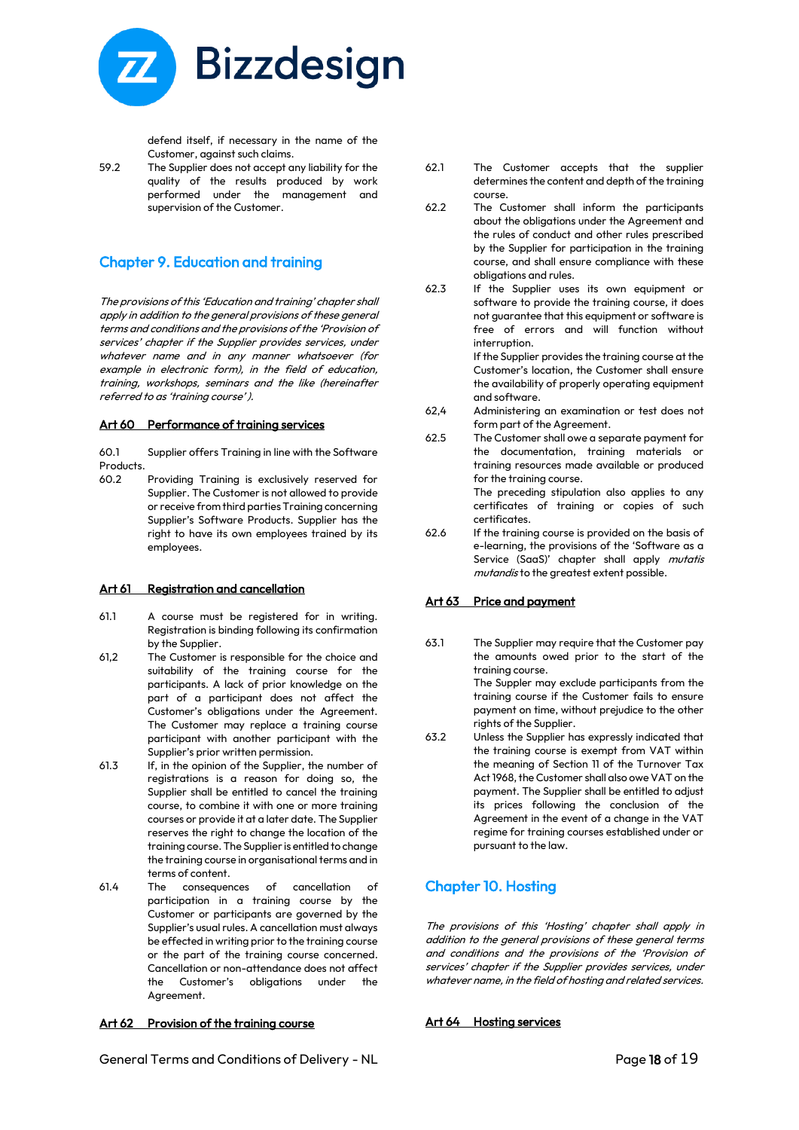

defend itself, if necessary in the name of the Customer, against such claims.

59.2 The Supplier does not accept any liability for the quality of the results produced by work performed under the management and supervision of the Customer.

# Chapter 9. Education and training

The provisions of this 'Education and training' chapter shall apply in addition to the general provisions of these general terms and conditions and the provisions of the 'Provision of services' chapter if the Supplier provides services, under whatever name and in any manner whatsoever (for example in electronic form), in the field of education, training, workshops, seminars and the like (hereinafter referred to as 'training course' ).

#### Art 60 Performance of training services

60.1 Supplier offers Training in line with the Software Products.<br>60.2

60.2 Providing Training is exclusively reserved for Supplier. The Customer is not allowed to provide or receive from third parties Training concerning Supplier's Software Products. Supplier has the right to have its own employees trained by its employees.

# Art 61 Registration and cancellation

- 61.1 A course must be registered for in writing. Registration is binding following its confirmation by the Supplier.
- 61,2 The Customer is responsible for the choice and suitability of the training course for the participants. A lack of prior knowledge on the part of a participant does not affect the Customer's obligations under the Agreement. The Customer may replace a training course participant with another participant with the Supplier's prior written permission.
- 61.3 If, in the opinion of the Supplier, the number of registrations is a reason for doing so, the Supplier shall be entitled to cancel the training course, to combine it with one or more training courses or provide it at a later date. The Supplier reserves the right to change the location of the training course. The Supplier is entitled to change the training course in organisational terms and in terms of content.
- 61.4 The consequences of cancellation of participation in a training course by the Customer or participants are governed by the Supplier's usual rules. A cancellation must always be effected in writing prior to the training course or the part of the training course concerned. Cancellation or non-attendance does not affect the Customer's obligations under the Agreement.

# Art 62 Provision of the training course

- 62.1 The Customer accepts that the supplier determines the content and depth of the training course.
- 62.2 The Customer shall inform the participants about the obligations under the Agreement and the rules of conduct and other rules prescribed by the Supplier for participation in the training course, and shall ensure compliance with these obligations and rules.
- 62.3 If the Supplier uses its own equipment or software to provide the training course, it does not guarantee that this equipment or software is free of errors and will function without interruption.

If the Supplier provides the training course at the Customer's location, the Customer shall ensure the availability of properly operating equipment and software.

- 62,4 Administering an examination or test does not form part of the Agreement.
- 62.5 The Customer shall owe a separate payment for the documentation, training materials or training resources made available or produced for the training course.

The preceding stipulation also applies to any certificates of training or copies of such certificates.

62.6 If the training course is provided on the basis of e-learning, the provisions of the 'Software as a Service (SaaS)' chapter shall apply mutatis mutandis to the greatest extent possible.

# Art 63 Price and payment

63.1 The Supplier may require that the Customer pay the amounts owed prior to the start of the training course. The Suppler may exclude participants from the

training course if the Customer fails to ensure payment on time, without prejudice to the other rights of the Supplier.

63.2 Unless the Supplier has expressly indicated that the training course is exempt from VAT within the meaning of Section 11 of the Turnover Tax Act 1968, the Customer shall also owe VAT on the payment. The Supplier shall be entitled to adjust its prices following the conclusion of the Agreement in the event of a change in the VAT regime for training courses established under or pursuant to the law.

# Chapter 10. Hosting

The provisions of this 'Hosting' chapter shall apply i<sup>n</sup> addition to the general provisions of these general terms and conditions and the provisions of the 'Provision of services' chapter if the Supplier provides services, under whatever name, in the field of hosting and related services.

# Art 64 Hosting services

General Terms and Conditions of Delivery - NL **Example 20 and Seneral Terms** and Conditions of Delivery - NL